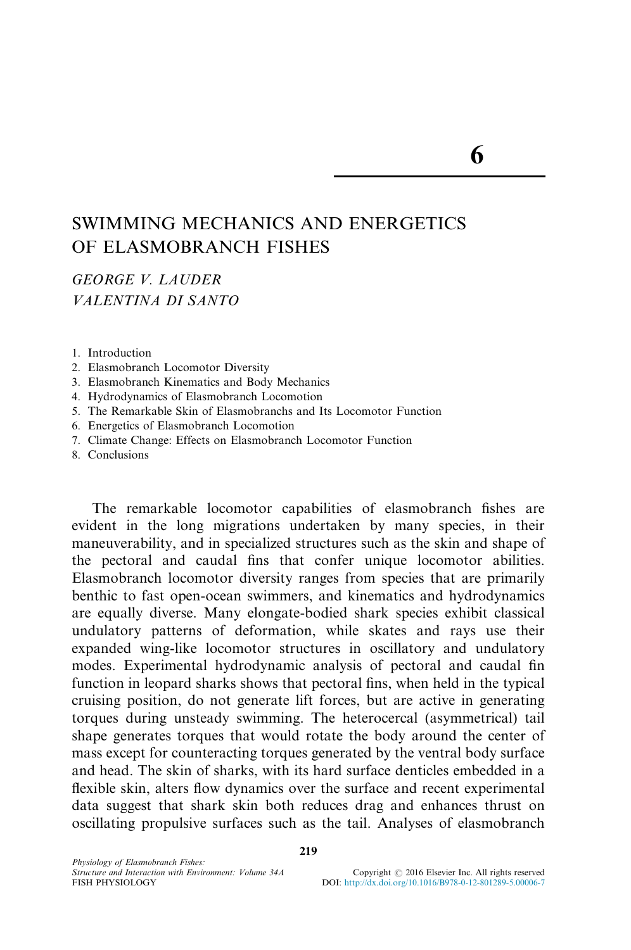# SWIMMING MECHANICS AND ENERGETICS OF ELASMOBRANCH FISHES

## GEORGE V. LAUDER VALENTINA DI SANTO

1. Introduction

- 2. Elasmobranch Locomotor Diversity
- 3. Elasmobranch Kinematics and Body Mechanics
- 4. Hydrodynamics of Elasmobranch Locomotion
- 5. The Remarkable Skin of Elasmobranchs and Its Locomotor Function
- 6. Energetics of Elasmobranch Locomotion
- 7. Climate Change: Effects on Elasmobranch Locomotor Function
- 8. Conclusions

The remarkable locomotor capabilities of elasmobranch fishes are evident in the long migrations undertaken by many species, in their maneuverability, and in specialized structures such as the skin and shape of the pectoral and caudal fins that confer unique locomotor abilities. Elasmobranch locomotor diversity ranges from species that are primarily benthic to fast open-ocean swimmers, and kinematics and hydrodynamics are equally diverse. Many elongate-bodied shark species exhibit classical undulatory patterns of deformation, while skates and rays use their expanded wing-like locomotor structures in oscillatory and undulatory modes. Experimental hydrodynamic analysis of pectoral and caudal fin function in leopard sharks shows that pectoral fins, when held in the typical cruising position, do not generate lift forces, but are active in generating torques during unsteady swimming. The heterocercal (asymmetrical) tail shape generates torques that would rotate the body around the center of mass except for counteracting torques generated by the ventral body surface and head. The skin of sharks, with its hard surface denticles embedded in a flexible skin, alters flow dynamics over the surface and recent experimental data suggest that shark skin both reduces drag and enhances thrust on oscillating propulsive surfaces such as the tail. Analyses of elasmobranch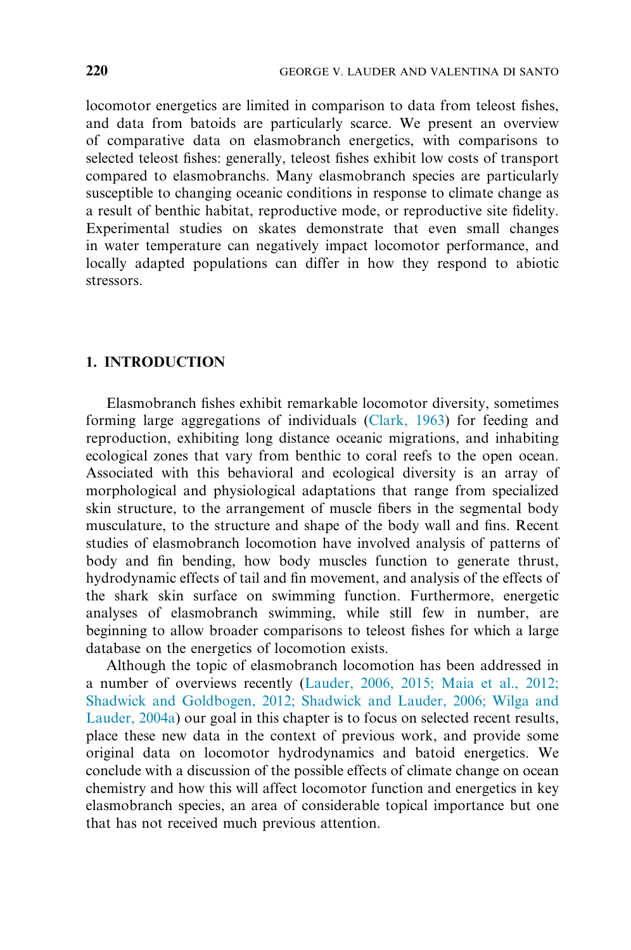locomotor energetics are limited in comparison to data from teleost fishes, and data from batoids are particularly scarce. We present an overview of comparative data on elasmobranch energetics, with comparisons to selected teleost fishes: generally, teleost fishes exhibit low costs of transport compared to elasmobranchs. Many elasmobranch species are particularly susceptible to changing oceanic conditions in response to climate change as a result of benthic habitat, reproductive mode, or reproductive site fidelity. Experimental studies on skates demonstrate that even small changes in water temperature can negatively impact locomotor performance, and locally adapted populations can differ in how they respond to abiotic stressors.

## 1. INTRODUCTION

Elasmobranch fishes exhibit remarkable locomotor diversity, sometimes forming large aggregations of individuals (Clark, 1963) for feeding and reproduction, exhibiting long distance oceanic migrations, and inhabiting ecological zones that vary from benthic to coral reefs to the open ocean. Associated with this behavioral and ecological diversity is an array of morphological and physiological adaptations that range from specialized skin structure, to the arrangement of muscle fibers in the segmental body musculature, to the structure and shape of the body wall and fins. Recent studies of elasmobranch locomotion have involved analysis of patterns of body and fin bending, how body muscles function to generate thrust, hydrodynamic effects of tail and fin movement, and analysis of the effects of the shark skin surface on swimming function. Furthermore, energetic analyses of elasmobranch swimming, while still few in number, are beginning to allow broader comparisons to teleost fishes for which a large database on the energetics of locomotion exists.

Although the topic of elasmobranch locomotion has been addressed in a number of overviews recently (Lauder, 2006, 2015; Maia et al., 2012; Shadwick and Goldbogen, 2012; Shadwick and Lauder, 2006; Wilga and Lauder, 2004a) our goal in this chapter is to focus on selected recent results, place these new data in the context of previous work, and provide some original data on locomotor hydrodynamics and batoid energetics. We conclude with a discussion of the possible effects of climate change on ocean chemistry and how this will affect locomotor function and energetics in key elasmobranch species, an area of considerable topical importance but one that has not received much previous attention.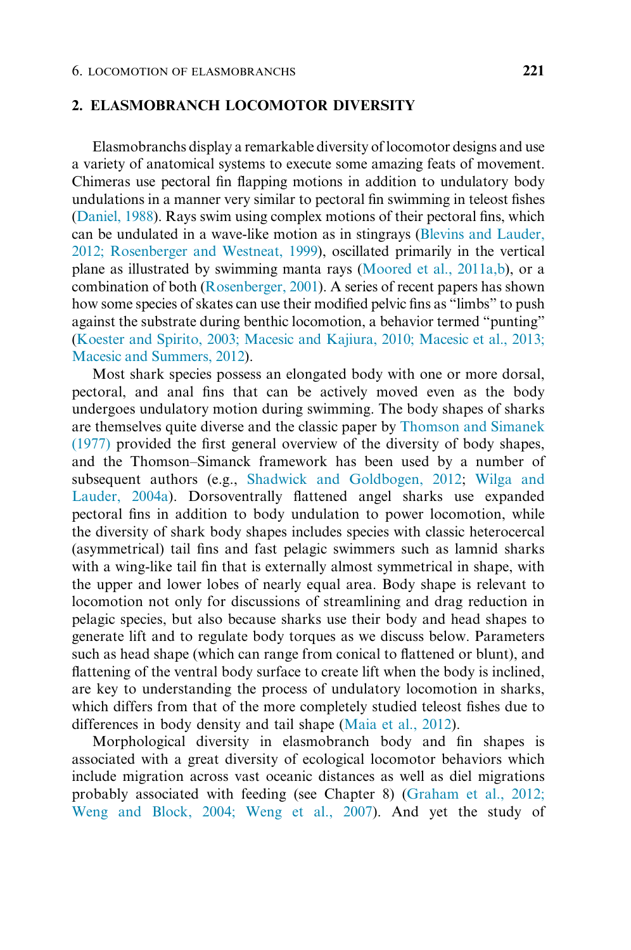## 2. ELASMOBRANCH LOCOMOTOR DIVERSITY

Elasmobranchs display a remarkable diversity of locomotor designs and use a variety of anatomical systems to execute some amazing feats of movement. Chimeras use pectoral fin flapping motions in addition to undulatory body undulations in a manner very similar to pectoral fin swimming in teleost fishes (Daniel, 1988). Rays swim using complex motions of their pectoral fins, which can be undulated in a wave-like motion as in stingrays (Blevins and Lauder, 2012; Rosenberger and Westneat, 1999), oscillated primarily in the vertical plane as illustrated by swimming manta rays (Moored et al., 2011a,b), or a combination of both (Rosenberger, 2001). A series of recent papers has shown how some species of skates can use their modified pelvic fins as "limbs" to push against the substrate during benthic locomotion, a behavior termed "punting" (Koester and Spirito, 2003; Macesic and Kajiura, 2010; Macesic et al., 2013; Macesic and Summers, 2012).

Most shark species possess an elongated body with one or more dorsal, pectoral, and anal fins that can be actively moved even as the body undergoes undulatory motion during swimming. The body shapes of sharks are themselves quite diverse and the classic paper by Thomson and Simanek (1977) provided the first general overview of the diversity of body shapes, and the Thomson–Simanck framework has been used by a number of subsequent authors (e.g., Shadwick and Goldbogen, 2012; Wilga and Lauder, 2004a). Dorsoventrally flattened angel sharks use expanded pectoral fins in addition to body undulation to power locomotion, while the diversity of shark body shapes includes species with classic heterocercal (asymmetrical) tail fins and fast pelagic swimmers such as lamnid sharks with a wing-like tail fin that is externally almost symmetrical in shape, with the upper and lower lobes of nearly equal area. Body shape is relevant to locomotion not only for discussions of streamlining and drag reduction in pelagic species, but also because sharks use their body and head shapes to generate lift and to regulate body torques as we discuss below. Parameters such as head shape (which can range from conical to flattened or blunt), and flattening of the ventral body surface to create lift when the body is inclined, are key to understanding the process of undulatory locomotion in sharks, which differs from that of the more completely studied teleost fishes due to differences in body density and tail shape (Maia et al., 2012).

Morphological diversity in elasmobranch body and fin shapes is associated with a great diversity of ecological locomotor behaviors which include migration across vast oceanic distances as well as diel migrations probably associated with feeding (see Chapter 8) (Graham et al., 2012; Weng and Block, 2004; Weng et al., 2007). And yet the study of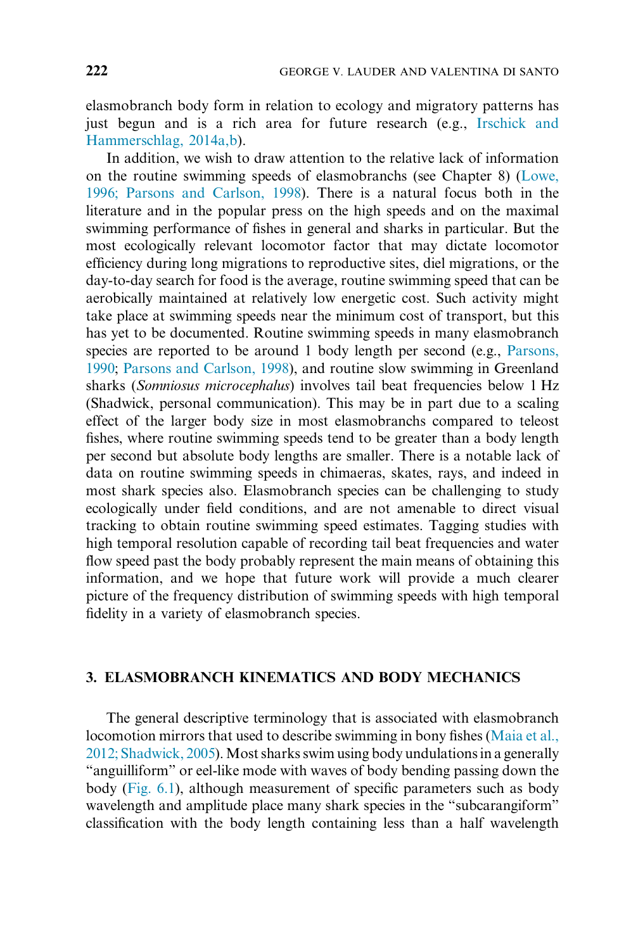elasmobranch body form in relation to ecology and migratory patterns has just begun and is a rich area for future research (e.g., Irschick and Hammerschlag, 2014a,b).

In addition, we wish to draw attention to the relative lack of information on the routine swimming speeds of elasmobranchs (see Chapter 8) (Lowe, 1996; Parsons and Carlson, 1998). There is a natural focus both in the literature and in the popular press on the high speeds and on the maximal swimming performance of fishes in general and sharks in particular. But the most ecologically relevant locomotor factor that may dictate locomotor efficiency during long migrations to reproductive sites, diel migrations, or the day-to-day search for food is the average, routine swimming speed that can be aerobically maintained at relatively low energetic cost. Such activity might take place at swimming speeds near the minimum cost of transport, but this has yet to be documented. Routine swimming speeds in many elasmobranch species are reported to be around 1 body length per second (e.g., Parsons, 1990; Parsons and Carlson, 1998), and routine slow swimming in Greenland sharks (Somniosus microcephalus) involves tail beat frequencies below 1 Hz (Shadwick, personal communication). This may be in part due to a scaling effect of the larger body size in most elasmobranchs compared to teleost fishes, where routine swimming speeds tend to be greater than a body length per second but absolute body lengths are smaller. There is a notable lack of data on routine swimming speeds in chimaeras, skates, rays, and indeed in most shark species also. Elasmobranch species can be challenging to study ecologically under field conditions, and are not amenable to direct visual tracking to obtain routine swimming speed estimates. Tagging studies with high temporal resolution capable of recording tail beat frequencies and water flow speed past the body probably represent the main means of obtaining this information, and we hope that future work will provide a much clearer picture of the frequency distribution of swimming speeds with high temporal fidelity in a variety of elasmobranch species.

## 3. ELASMOBRANCH KINEMATICS AND BODY MECHANICS

The general descriptive terminology that is associated with elasmobranch locomotion mirrors that used to describe swimming in bony fishes (Maia et al., 2012; Shadwick, 2005).Most sharks swim using body undulations in a generally "anguilliform" or eel-like mode with waves of body bending passing down the body (Fig. 6.1), although measurement of specific parameters such as body wavelength and amplitude place many shark species in the "subcarangiform" classification with the body length containing less than a half wavelength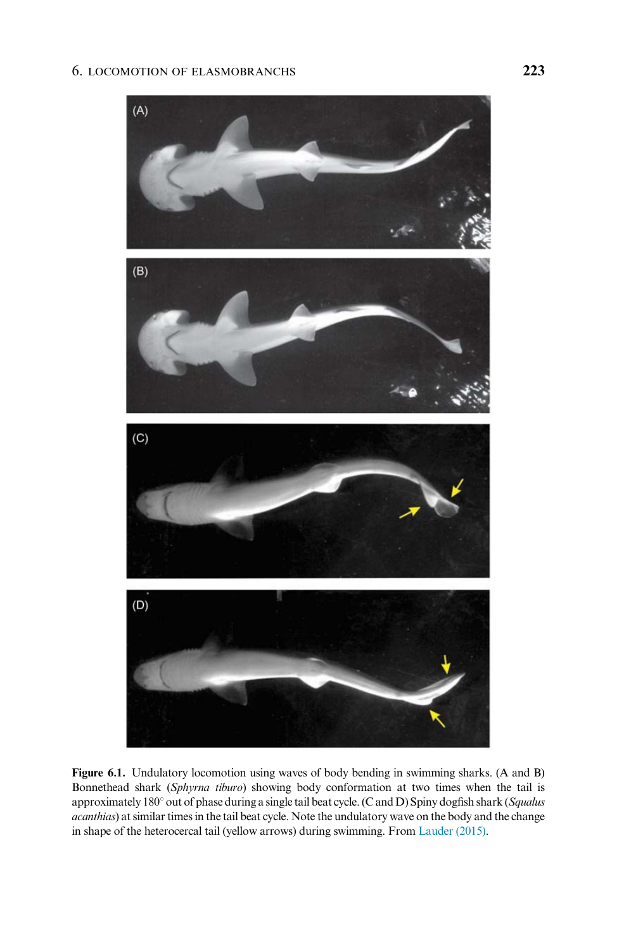

Figure 6.1. Undulatory locomotion using waves of body bending in swimming sharks. (A and B) Bonnethead shark (Sphyrna tiburo) showing body conformation at two times when the tail is approximately 180° out of phase during a single tail beat cycle. (C and D) Spiny dogfish shark (Squalus acanthias) at similar times in the tail beat cycle. Note the undulatory wave on the body and the change in shape of the heterocercal tail (yellow arrows) during swimming. From Lauder (2015).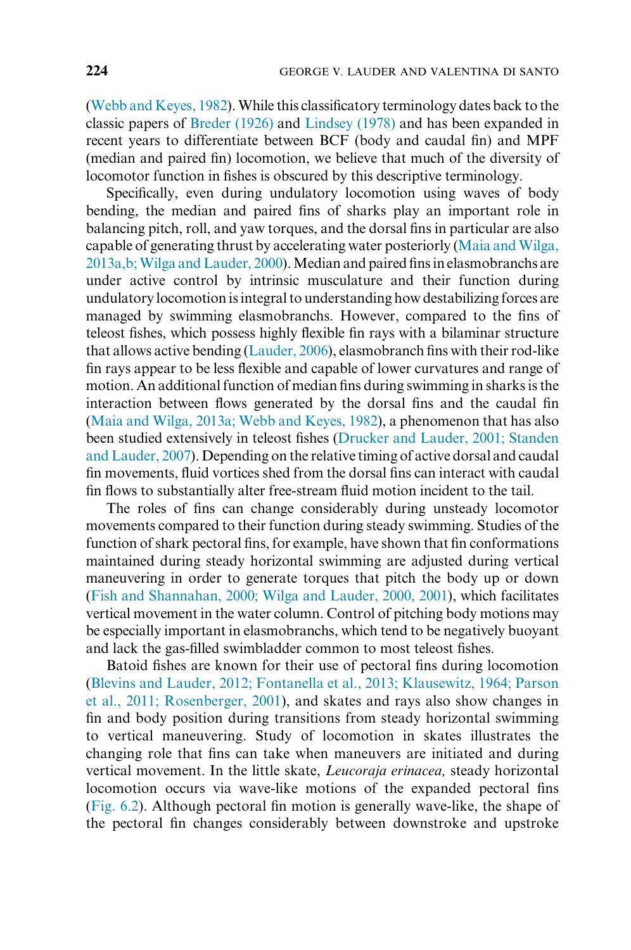(Webb and Keyes, 1982).While this classificatory terminology dates back to the classic papers of Breder (1926) and Lindsey (1978) and has been expanded in recent years to differentiate between BCF (body and caudal fin) and MPF (median and paired fin) locomotion, we believe that much of the diversity of locomotor function in fishes is obscured by this descriptive terminology.

Specifically, even during undulatory locomotion using waves of body bending, the median and paired fins of sharks play an important role in balancing pitch, roll, and yaw torques, and the dorsal fins in particular are also capable of generating thrust by accelerating water posteriorly (Maia and Wilga, 2013a,b; Wilga and Lauder, 2000). Median and paired fins in elasmobranchs are under active control by intrinsic musculature and their function during undulatory locomotion is integral to understanding how destabilizing forces are managed by swimming elasmobranchs. However, compared to the fins of teleost fishes, which possess highly flexible fin rays with a bilaminar structure that allows active bending (Lauder, 2006), elasmobranch fins with their rod-like fin rays appear to be less flexible and capable of lower curvatures and range of motion. An additional function of median fins during swimming in sharks is the interaction between flows generated by the dorsal fins and the caudal fin (Maia and Wilga, 2013a; Webb and Keyes, 1982), a phenomenon that has also been studied extensively in teleost fishes (Drucker and Lauder, 2001; Standen and Lauder, 2007). Depending on the relative timing of active dorsal and caudal fin movements, fluid vortices shed from the dorsal fins can interact with caudal fin flows to substantially alter free-stream fluid motion incident to the tail.

The roles of fins can change considerably during unsteady locomotor movements compared to their function during steady swimming. Studies of the function of shark pectoral fins, for example, have shown that fin conformations maintained during steady horizontal swimming are adjusted during vertical maneuvering in order to generate torques that pitch the body up or down (Fish and Shannahan, 2000; Wilga and Lauder, 2000, 2001), which facilitates vertical movement in the water column. Control of pitching body motions may be especially important in elasmobranchs, which tend to be negatively buoyant and lack the gas-filled swimbladder common to most teleost fishes.

Batoid fishes are known for their use of pectoral fins during locomotion (Blevins and Lauder, 2012; Fontanella et al., 2013; Klausewitz, 1964; Parson et al., 2011; Rosenberger, 2001), and skates and rays also show changes in fin and body position during transitions from steady horizontal swimming to vertical maneuvering. Study of locomotion in skates illustrates the changing role that fins can take when maneuvers are initiated and during vertical movement. In the little skate, Leucoraja erinacea, steady horizontal locomotion occurs via wave-like motions of the expanded pectoral fins (Fig. 6.2). Although pectoral fin motion is generally wave-like, the shape of the pectoral fin changes considerably between downstroke and upstroke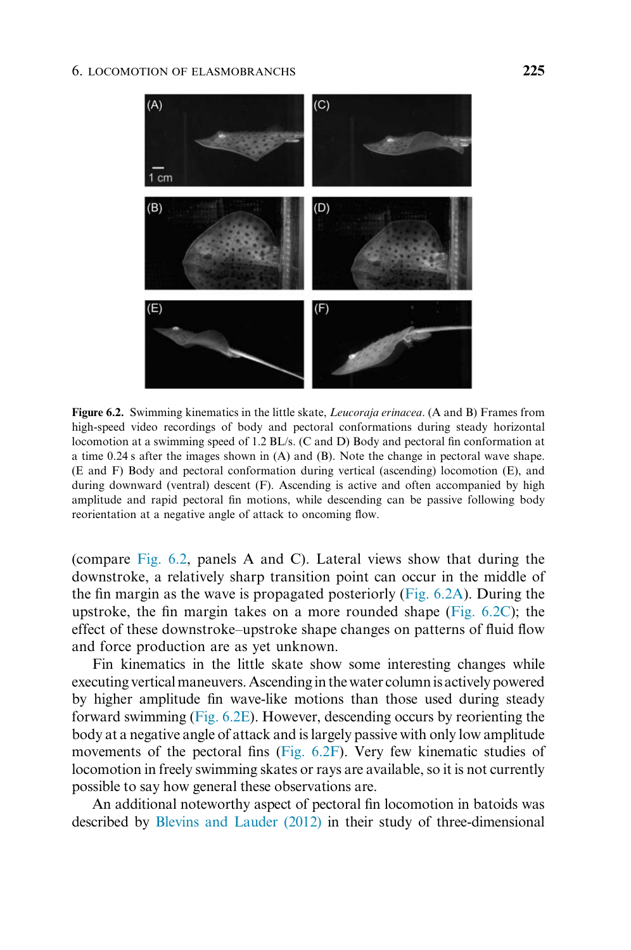

Figure 6.2. Swimming kinematics in the little skate, *Leucoraja erinacea*. (A and B) Frames from high-speed video recordings of body and pectoral conformations during steady horizontal locomotion at a swimming speed of 1.2 BL/s. (C and D) Body and pectoral fin conformation at a time 0.24 s after the images shown in (A) and (B). Note the change in pectoral wave shape. (E and F) Body and pectoral conformation during vertical (ascending) locomotion (E), and during downward (ventral) descent (F). Ascending is active and often accompanied by high amplitude and rapid pectoral fin motions, while descending can be passive following body reorientation at a negative angle of attack to oncoming flow.

(compare Fig. 6.2, panels A and C). Lateral views show that during the downstroke, a relatively sharp transition point can occur in the middle of the fin margin as the wave is propagated posteriorly (Fig. 6.2A). During the upstroke, the fin margin takes on a more rounded shape (Fig.  $6.2C$ ); the effect of these downstroke–upstroke shape changes on patterns of fluid flow and force production are as yet unknown.

Fin kinematics in the little skate show some interesting changes while executing vertical maneuvers. Ascending in the water columnis actively powered by higher amplitude fin wave-like motions than those used during steady forward swimming (Fig. 6.2E). However, descending occurs by reorienting the body at a negative angle of attack and is largely passive with only low amplitude movements of the pectoral fins (Fig. 6.2F). Very few kinematic studies of locomotion in freely swimming skates or rays are available, so it is not currently possible to say how general these observations are.

An additional noteworthy aspect of pectoral fin locomotion in batoids was described by Blevins and Lauder (2012) in their study of three-dimensional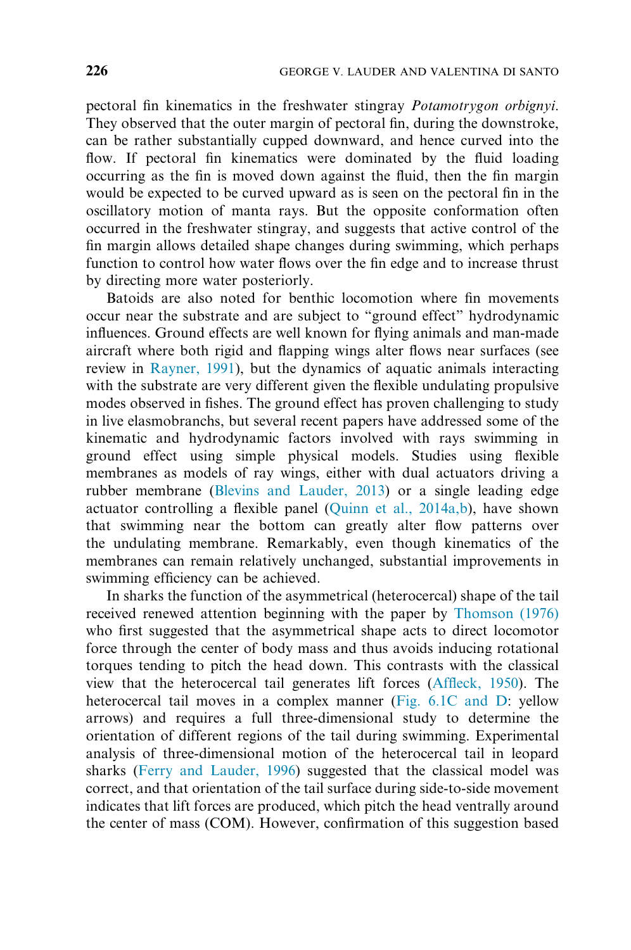pectoral fin kinematics in the freshwater stingray Potamotrygon orbignyi. They observed that the outer margin of pectoral fin, during the downstroke, can be rather substantially cupped downward, and hence curved into the flow. If pectoral fin kinematics were dominated by the fluid loading occurring as the fin is moved down against the fluid, then the fin margin would be expected to be curved upward as is seen on the pectoral fin in the oscillatory motion of manta rays. But the opposite conformation often occurred in the freshwater stingray, and suggests that active control of the fin margin allows detailed shape changes during swimming, which perhaps function to control how water flows over the fin edge and to increase thrust by directing more water posteriorly.

Batoids are also noted for benthic locomotion where fin movements occur near the substrate and are subject to "ground effect" hydrodynamic influences. Ground effects are well known for flying animals and man-made aircraft where both rigid and flapping wings alter flows near surfaces (see review in Rayner, 1991), but the dynamics of aquatic animals interacting with the substrate are very different given the flexible undulating propulsive modes observed in fishes. The ground effect has proven challenging to study in live elasmobranchs, but several recent papers have addressed some of the kinematic and hydrodynamic factors involved with rays swimming in ground effect using simple physical models. Studies using flexible membranes as models of ray wings, either with dual actuators driving a rubber membrane (Blevins and Lauder, 2013) or a single leading edge actuator controlling a flexible panel (Quinn et al., 2014a,b), have shown that swimming near the bottom can greatly alter flow patterns over the undulating membrane. Remarkably, even though kinematics of the membranes can remain relatively unchanged, substantial improvements in swimming efficiency can be achieved.

In sharks the function of the asymmetrical (heterocercal) shape of the tail received renewed attention beginning with the paper by Thomson (1976) who first suggested that the asymmetrical shape acts to direct locomotor force through the center of body mass and thus avoids inducing rotational torques tending to pitch the head down. This contrasts with the classical view that the heterocercal tail generates lift forces (Affleck, 1950). The heterocercal tail moves in a complex manner (Fig. 6.1C and D: yellow arrows) and requires a full three-dimensional study to determine the orientation of different regions of the tail during swimming. Experimental analysis of three-dimensional motion of the heterocercal tail in leopard sharks (Ferry and Lauder, 1996) suggested that the classical model was correct, and that orientation of the tail surface during side-to-side movement indicates that lift forces are produced, which pitch the head ventrally around the center of mass (COM). However, confirmation of this suggestion based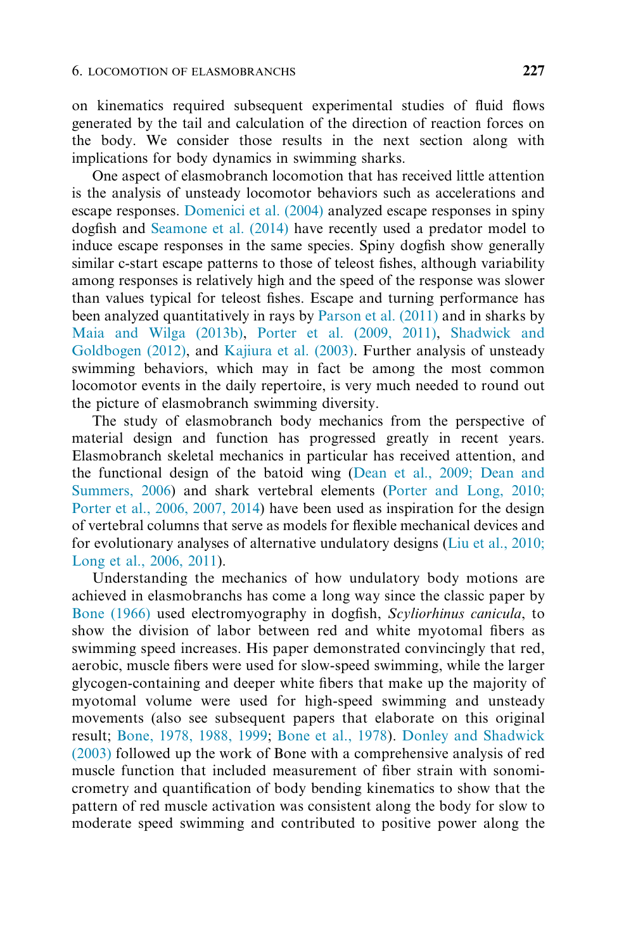on kinematics required subsequent experimental studies of fluid flows generated by the tail and calculation of the direction of reaction forces on the body. We consider those results in the next section along with implications for body dynamics in swimming sharks.

One aspect of elasmobranch locomotion that has received little attention is the analysis of unsteady locomotor behaviors such as accelerations and escape responses. Domenici et al. (2004) analyzed escape responses in spiny dogfish and Seamone et al. (2014) have recently used a predator model to induce escape responses in the same species. Spiny dogfish show generally similar c-start escape patterns to those of teleost fishes, although variability among responses is relatively high and the speed of the response was slower than values typical for teleost fishes. Escape and turning performance has been analyzed quantitatively in rays by Parson et al. (2011) and in sharks by Maia and Wilga (2013b), Porter et al. (2009, 2011), Shadwick and Goldbogen (2012), and Kajiura et al. (2003). Further analysis of unsteady swimming behaviors, which may in fact be among the most common locomotor events in the daily repertoire, is very much needed to round out the picture of elasmobranch swimming diversity.

The study of elasmobranch body mechanics from the perspective of material design and function has progressed greatly in recent years. Elasmobranch skeletal mechanics in particular has received attention, and the functional design of the batoid wing (Dean et al., 2009; Dean and Summers, 2006) and shark vertebral elements (Porter and Long, 2010; Porter et al., 2006, 2007, 2014) have been used as inspiration for the design of vertebral columns that serve as models for flexible mechanical devices and for evolutionary analyses of alternative undulatory designs (Liu et al., 2010; Long et al., 2006, 2011).

Understanding the mechanics of how undulatory body motions are achieved in elasmobranchs has come a long way since the classic paper by Bone (1966) used electromyography in dogfish, Scyliorhinus canicula, to show the division of labor between red and white myotomal fibers as swimming speed increases. His paper demonstrated convincingly that red, aerobic, muscle fibers were used for slow-speed swimming, while the larger glycogen-containing and deeper white fibers that make up the majority of myotomal volume were used for high-speed swimming and unsteady movements (also see subsequent papers that elaborate on this original result; Bone, 1978, 1988, 1999; Bone et al., 1978). Donley and Shadwick (2003) followed up the work of Bone with a comprehensive analysis of red muscle function that included measurement of fiber strain with sonomicrometry and quantification of body bending kinematics to show that the pattern of red muscle activation was consistent along the body for slow to moderate speed swimming and contributed to positive power along the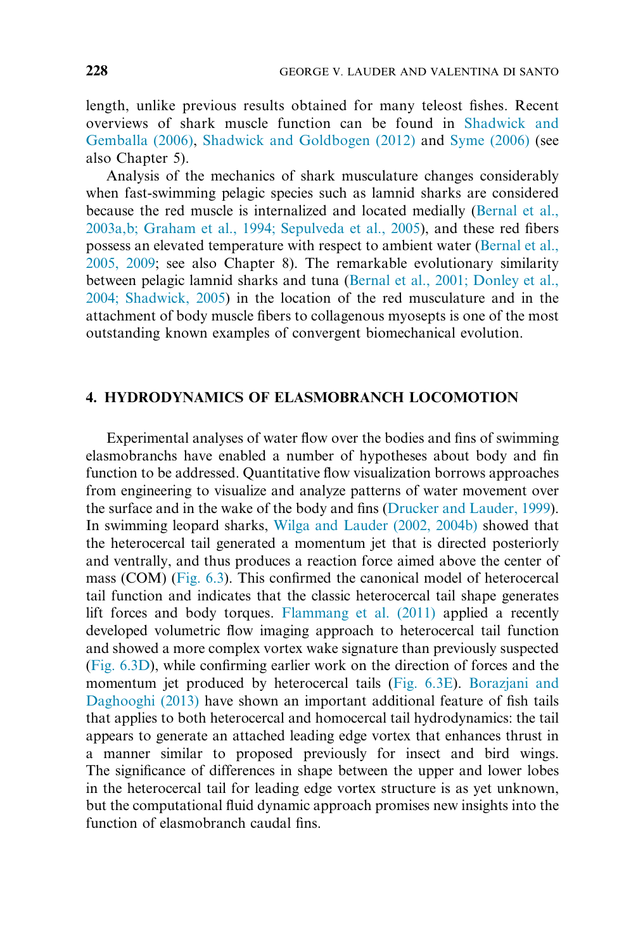length, unlike previous results obtained for many teleost fishes. Recent overviews of shark muscle function can be found in Shadwick and Gemballa (2006), Shadwick and Goldbogen (2012) and Syme (2006) (see also Chapter 5).

Analysis of the mechanics of shark musculature changes considerably when fast-swimming pelagic species such as lamnid sharks are considered because the red muscle is internalized and located medially (Bernal et al., 2003a,b; Graham et al., 1994; Sepulveda et al., 2005), and these red fibers possess an elevated temperature with respect to ambient water (Bernal et al., 2005, 2009; see also Chapter 8). The remarkable evolutionary similarity between pelagic lamnid sharks and tuna (Bernal et al., 2001; Donley et al., 2004; Shadwick, 2005) in the location of the red musculature and in the attachment of body muscle fibers to collagenous myosepts is one of the most outstanding known examples of convergent biomechanical evolution.

## 4. HYDRODYNAMICS OF ELASMOBRANCH LOCOMOTION

Experimental analyses of water flow over the bodies and fins of swimming elasmobranchs have enabled a number of hypotheses about body and fin function to be addressed. Quantitative flow visualization borrows approaches from engineering to visualize and analyze patterns of water movement over the surface and in the wake of the body and fins (Drucker and Lauder, 1999). In swimming leopard sharks, Wilga and Lauder (2002, 2004b) showed that the heterocercal tail generated a momentum jet that is directed posteriorly and ventrally, and thus produces a reaction force aimed above the center of mass (COM) (Fig. 6.3). This confirmed the canonical model of heterocercal tail function and indicates that the classic heterocercal tail shape generates lift forces and body torques. Flammang et al. (2011) applied a recently developed volumetric flow imaging approach to heterocercal tail function and showed a more complex vortex wake signature than previously suspected (Fig. 6.3D), while confirming earlier work on the direction of forces and the momentum jet produced by heterocercal tails (Fig. 6.3E). Borazjani and Daghooghi (2013) have shown an important additional feature of fish tails that applies to both heterocercal and homocercal tail hydrodynamics: the tail appears to generate an attached leading edge vortex that enhances thrust in a manner similar to proposed previously for insect and bird wings. The significance of differences in shape between the upper and lower lobes in the heterocercal tail for leading edge vortex structure is as yet unknown, but the computational fluid dynamic approach promises new insights into the function of elasmobranch caudal fins.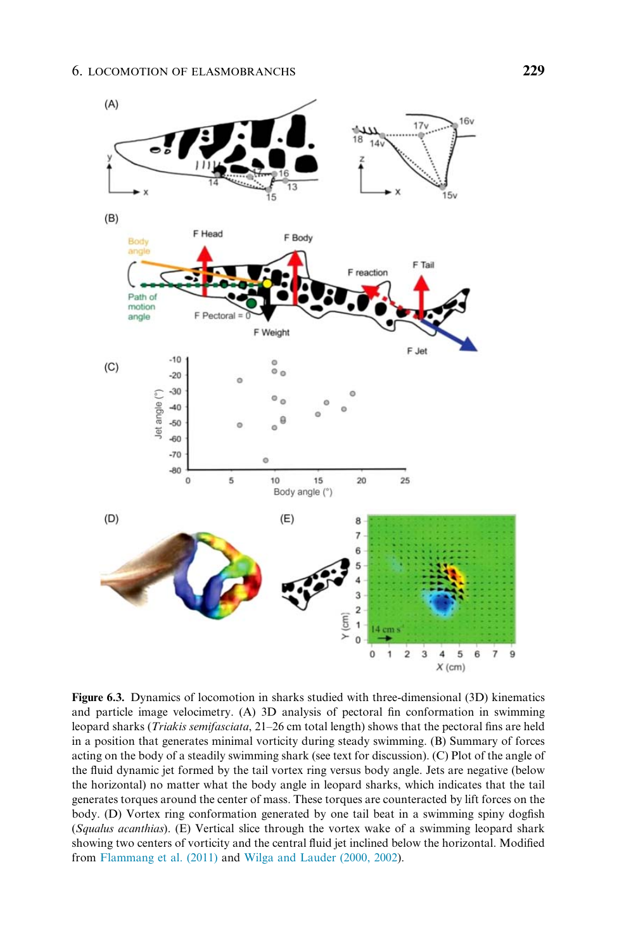

Figure 6.3. Dynamics of locomotion in sharks studied with three-dimensional (3D) kinematics and particle image velocimetry. (A) 3D analysis of pectoral fin conformation in swimming leopard sharks (Triakis semifasciata, 21–26 cm total length) shows that the pectoral fins are held in a position that generates minimal vorticity during steady swimming. (B) Summary of forces acting on the body of a steadily swimming shark (see text for discussion). (C) Plot of the angle of the fluid dynamic jet formed by the tail vortex ring versus body angle. Jets are negative (below the horizontal) no matter what the body angle in leopard sharks, which indicates that the tail generates torques around the center of mass. These torques are counteracted by lift forces on the body. (D) Vortex ring conformation generated by one tail beat in a swimming spiny dogfish (Squalus acanthias). (E) Vertical slice through the vortex wake of a swimming leopard shark showing two centers of vorticity and the central fluid jet inclined below the horizontal. Modified from Flammang et al. (2011) and Wilga and Lauder (2000, 2002).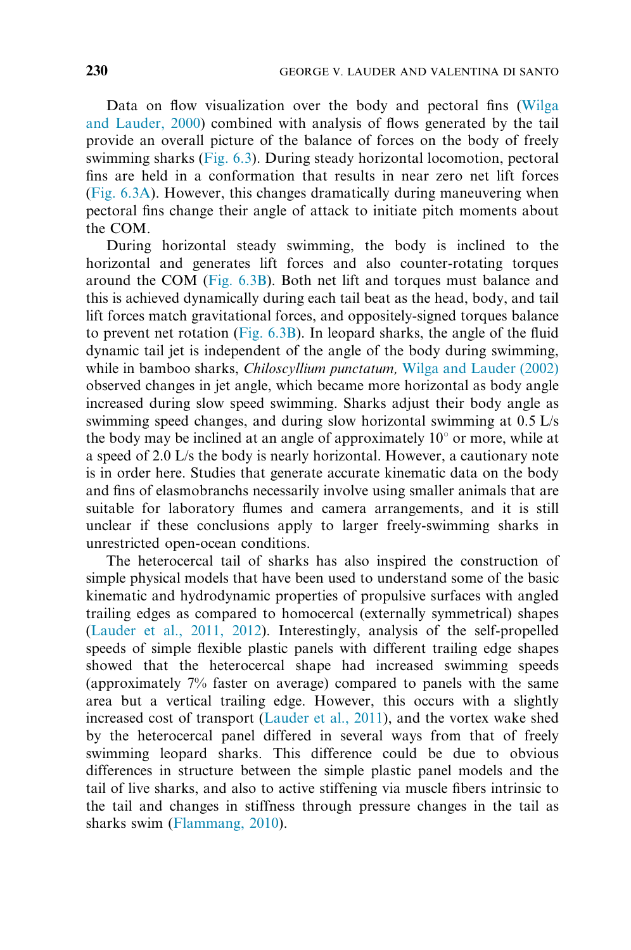Data on flow visualization over the body and pectoral fins (Wilga and Lauder, 2000) combined with analysis of flows generated by the tail provide an overall picture of the balance of forces on the body of freely swimming sharks (Fig. 6.3). During steady horizontal locomotion, pectoral fins are held in a conformation that results in near zero net lift forces (Fig. 6.3A). However, this changes dramatically during maneuvering when pectoral fins change their angle of attack to initiate pitch moments about the COM.

During horizontal steady swimming, the body is inclined to the horizontal and generates lift forces and also counter-rotating torques around the COM (Fig. 6.3B). Both net lift and torques must balance and this is achieved dynamically during each tail beat as the head, body, and tail lift forces match gravitational forces, and oppositely-signed torques balance to prevent net rotation (Fig. 6.3B). In leopard sharks, the angle of the fluid dynamic tail jet is independent of the angle of the body during swimming, while in bamboo sharks, *Chiloscyllium punctatum*, Wilga and Lauder (2002) observed changes in jet angle, which became more horizontal as body angle increased during slow speed swimming. Sharks adjust their body angle as swimming speed changes, and during slow horizontal swimming at 0.5 L/s the body may be inclined at an angle of approximately  $10^{\circ}$  or more, while at a speed of 2.0 L/s the body is nearly horizontal. However, a cautionary note is in order here. Studies that generate accurate kinematic data on the body and fins of elasmobranchs necessarily involve using smaller animals that are suitable for laboratory flumes and camera arrangements, and it is still unclear if these conclusions apply to larger freely-swimming sharks in unrestricted open-ocean conditions.

The heterocercal tail of sharks has also inspired the construction of simple physical models that have been used to understand some of the basic kinematic and hydrodynamic properties of propulsive surfaces with angled trailing edges as compared to homocercal (externally symmetrical) shapes (Lauder et al., 2011, 2012). Interestingly, analysis of the self-propelled speeds of simple flexible plastic panels with different trailing edge shapes showed that the heterocercal shape had increased swimming speeds (approximately 7% faster on average) compared to panels with the same area but a vertical trailing edge. However, this occurs with a slightly increased cost of transport (Lauder et al., 2011), and the vortex wake shed by the heterocercal panel differed in several ways from that of freely swimming leopard sharks. This difference could be due to obvious differences in structure between the simple plastic panel models and the tail of live sharks, and also to active stiffening via muscle fibers intrinsic to the tail and changes in stiffness through pressure changes in the tail as sharks swim (Flammang, 2010).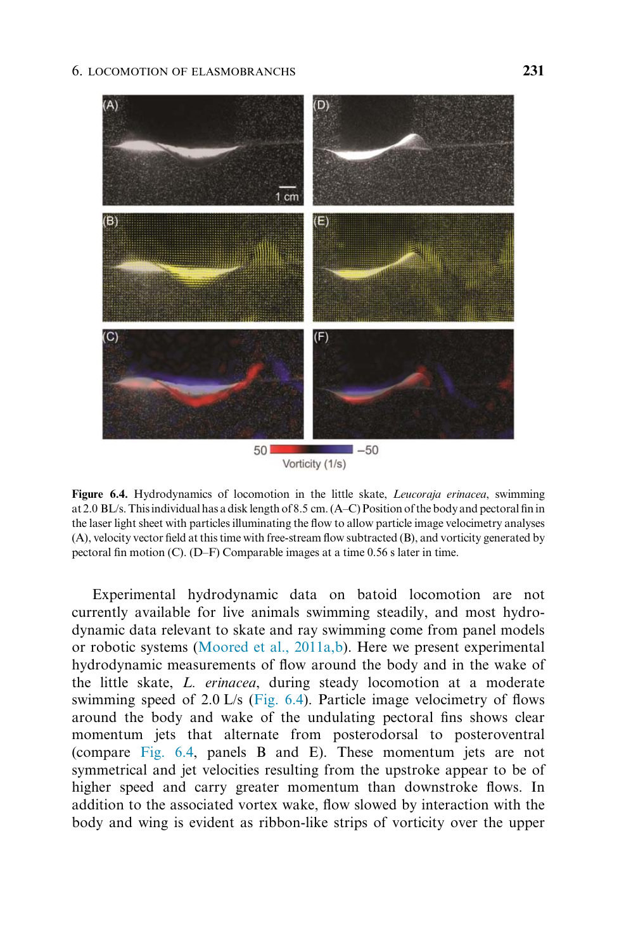

Figure 6.4. Hydrodynamics of locomotion in the little skate, *Leucoraja erinacea*, swimming at 2.0 BL/s. This individual has a disk length of 8.5 cm. (A–C) Position of the body and pectoral finin the laser light sheet with particles illuminating the flow to allow particle image velocimetry analyses (A), velocity vector field at this time with free-stream flow subtracted (B), and vorticity generated by pectoral fin motion (C). (D–F) Comparable images at a time 0.56 s later in time.

Experimental hydrodynamic data on batoid locomotion are not currently available for live animals swimming steadily, and most hydrodynamic data relevant to skate and ray swimming come from panel models or robotic systems (Moored et al., 2011a,b). Here we present experimental hydrodynamic measurements of flow around the body and in the wake of the little skate, L. erinacea, during steady locomotion at a moderate swimming speed of 2.0 L/s (Fig. 6.4). Particle image velocimetry of flows around the body and wake of the undulating pectoral fins shows clear momentum jets that alternate from posterodorsal to posteroventral (compare Fig. 6.4, panels B and E). These momentum jets are not symmetrical and jet velocities resulting from the upstroke appear to be of higher speed and carry greater momentum than downstroke flows. In addition to the associated vortex wake, flow slowed by interaction with the body and wing is evident as ribbon-like strips of vorticity over the upper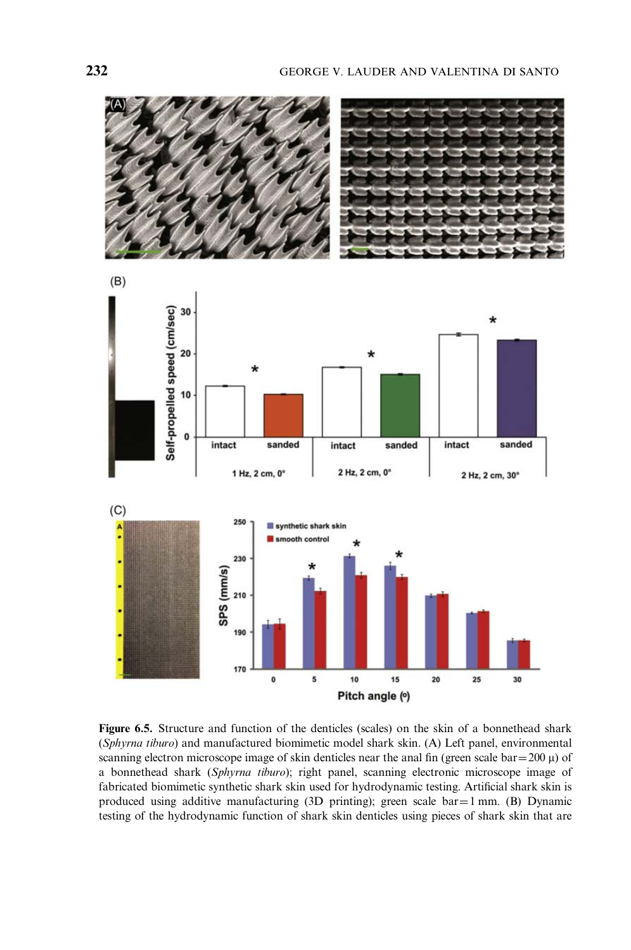



Figure 6.5. Structure and function of the denticles (scales) on the skin of a bonnethead shark (Sphyrna tiburo) and manufactured biomimetic model shark skin. (A) Left panel, environmental scanning electron microscope image of skin denticles near the anal fin (green scale bar =  $200 \mu$ ) of a bonnethead shark (Sphyrna tiburo); right panel, scanning electronic microscope image of fabricated biomimetic synthetic shark skin used for hydrodynamic testing. Artificial shark skin is produced using additive manufacturing  $(3D \text{ printing})$ ; green scale bar = 1 mm.  $(B)$  Dynamic testing of the hydrodynamic function of shark skin denticles using pieces of shark skin that are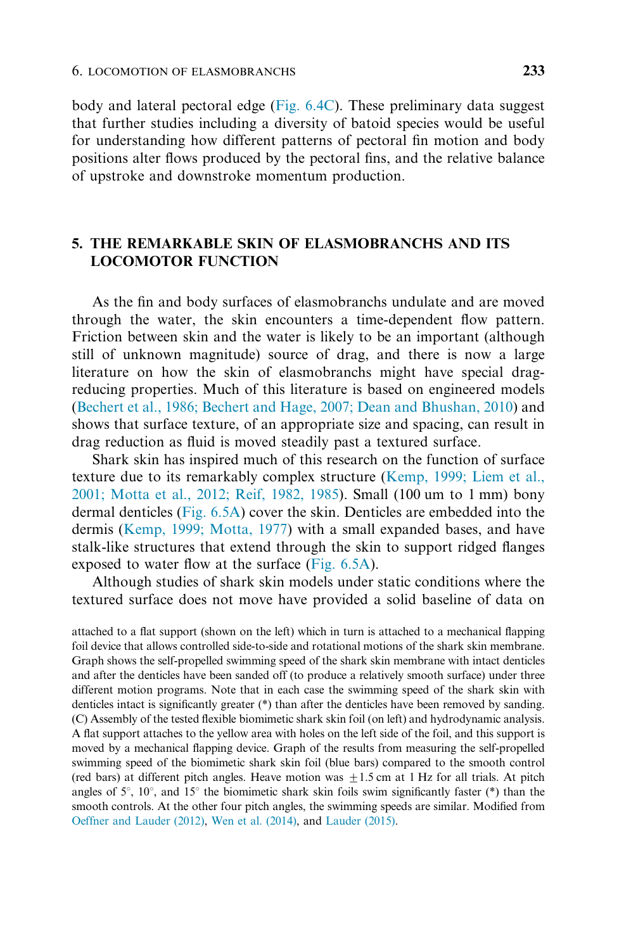body and lateral pectoral edge (Fig. 6.4C). These preliminary data suggest that further studies including a diversity of batoid species would be useful for understanding how different patterns of pectoral fin motion and body positions alter flows produced by the pectoral fins, and the relative balance of upstroke and downstroke momentum production.

## 5. THE REMARKABLE SKIN OF ELASMOBRANCHS AND ITS LOCOMOTOR FUNCTION

As the fin and body surfaces of elasmobranchs undulate and are moved through the water, the skin encounters a time-dependent flow pattern. Friction between skin and the water is likely to be an important (although still of unknown magnitude) source of drag, and there is now a large literature on how the skin of elasmobranchs might have special dragreducing properties. Much of this literature is based on engineered models (Bechert et al., 1986; Bechert and Hage, 2007; Dean and Bhushan, 2010) and shows that surface texture, of an appropriate size and spacing, can result in drag reduction as fluid is moved steadily past a textured surface.

Shark skin has inspired much of this research on the function of surface texture due to its remarkably complex structure (Kemp, 1999; Liem et al., 2001; Motta et al., 2012; Reif, 1982, 1985). Small (100 um to 1 mm) bony dermal denticles (Fig. 6.5A) cover the skin. Denticles are embedded into the dermis (Kemp, 1999; Motta, 1977) with a small expanded bases, and have stalk-like structures that extend through the skin to support ridged flanges exposed to water flow at the surface (Fig. 6.5A).

Although studies of shark skin models under static conditions where the textured surface does not move have provided a solid baseline of data on

attached to a flat support (shown on the left) which in turn is attached to a mechanical flapping foil device that allows controlled side-to-side and rotational motions of the shark skin membrane. Graph shows the self-propelled swimming speed of the shark skin membrane with intact denticles and after the denticles have been sanded off (to produce a relatively smooth surface) under three different motion programs. Note that in each case the swimming speed of the shark skin with denticles intact is significantly greater (\*) than after the denticles have been removed by sanding. (C) Assembly of the tested flexible biomimetic shark skin foil (on left) and hydrodynamic analysis. A flat support attaches to the yellow area with holes on the left side of the foil, and this support is moved by a mechanical flapping device. Graph of the results from measuring the self-propelled swimming speed of the biomimetic shark skin foil (blue bars) compared to the smooth control (red bars) at different pitch angles. Heave motion was  $\pm 1.5$  cm at 1 Hz for all trials. At pitch angles of  $5^\circ$ ,  $10^\circ$ , and  $15^\circ$  the biomimetic shark skin foils swim significantly faster (\*) than the smooth controls. At the other four pitch angles, the swimming speeds are similar. Modified from Oeffner and Lauder (2012), Wen et al. (2014), and Lauder (2015).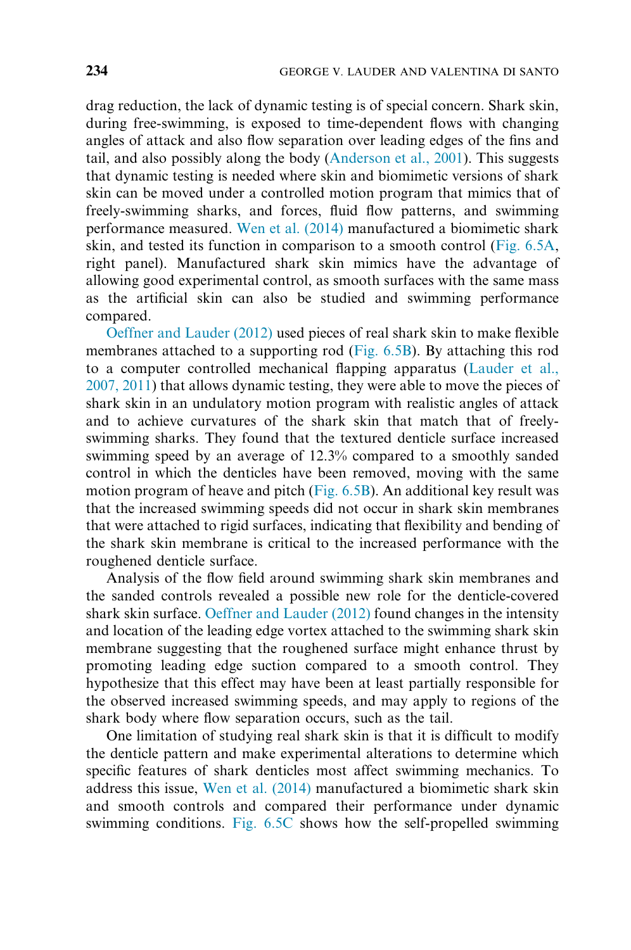drag reduction, the lack of dynamic testing is of special concern. Shark skin, during free-swimming, is exposed to time-dependent flows with changing angles of attack and also flow separation over leading edges of the fins and tail, and also possibly along the body (Anderson et al., 2001). This suggests that dynamic testing is needed where skin and biomimetic versions of shark skin can be moved under a controlled motion program that mimics that of freely-swimming sharks, and forces, fluid flow patterns, and swimming performance measured. Wen et al. (2014) manufactured a biomimetic shark skin, and tested its function in comparison to a smooth control (Fig. 6.5A, right panel). Manufactured shark skin mimics have the advantage of allowing good experimental control, as smooth surfaces with the same mass as the artificial skin can also be studied and swimming performance compared.

Oeffner and Lauder (2012) used pieces of real shark skin to make flexible membranes attached to a supporting rod (Fig. 6.5B). By attaching this rod to a computer controlled mechanical flapping apparatus (Lauder et al., 2007, 2011) that allows dynamic testing, they were able to move the pieces of shark skin in an undulatory motion program with realistic angles of attack and to achieve curvatures of the shark skin that match that of freelyswimming sharks. They found that the textured denticle surface increased swimming speed by an average of 12.3% compared to a smoothly sanded control in which the denticles have been removed, moving with the same motion program of heave and pitch (Fig. 6.5B). An additional key result was that the increased swimming speeds did not occur in shark skin membranes that were attached to rigid surfaces, indicating that flexibility and bending of the shark skin membrane is critical to the increased performance with the roughened denticle surface.

Analysis of the flow field around swimming shark skin membranes and the sanded controls revealed a possible new role for the denticle-covered shark skin surface. Oeffner and Lauder (2012) found changes in the intensity and location of the leading edge vortex attached to the swimming shark skin membrane suggesting that the roughened surface might enhance thrust by promoting leading edge suction compared to a smooth control. They hypothesize that this effect may have been at least partially responsible for the observed increased swimming speeds, and may apply to regions of the shark body where flow separation occurs, such as the tail.

One limitation of studying real shark skin is that it is difficult to modify the denticle pattern and make experimental alterations to determine which specific features of shark denticles most affect swimming mechanics. To address this issue, Wen et al. (2014) manufactured a biomimetic shark skin and smooth controls and compared their performance under dynamic swimming conditions. Fig. 6.5C shows how the self-propelled swimming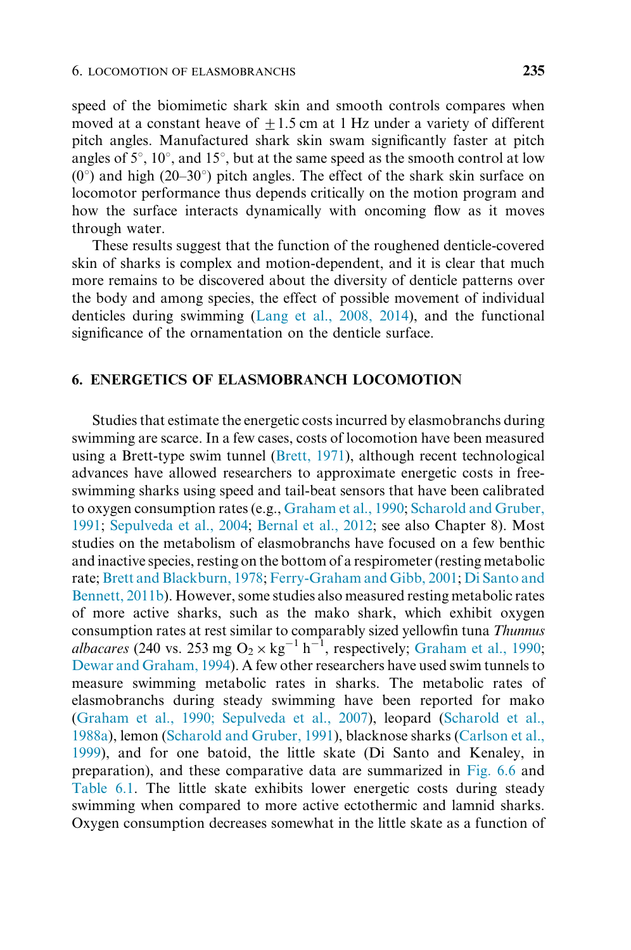speed of the biomimetic shark skin and smooth controls compares when moved at a constant heave of  $\pm 1.5$  cm at 1 Hz under a variety of different pitch angles. Manufactured shark skin swam significantly faster at pitch angles of  $5^{\circ}$ ,  $10^{\circ}$ , and  $15^{\circ}$ , but at the same speed as the smooth control at low  $(0^{\circ})$  and high (20–30<sup>o</sup>) pitch angles. The effect of the shark skin surface on locomotor performance thus depends critically on the motion program and how the surface interacts dynamically with oncoming flow as it moves through water.

These results suggest that the function of the roughened denticle-covered skin of sharks is complex and motion-dependent, and it is clear that much more remains to be discovered about the diversity of denticle patterns over the body and among species, the effect of possible movement of individual denticles during swimming (Lang et al., 2008, 2014), and the functional significance of the ornamentation on the denticle surface.

### 6. ENERGETICS OF ELASMOBRANCH LOCOMOTION

Studies that estimate the energetic costs incurred by elasmobranchs during swimming are scarce. In a few cases, costs of locomotion have been measured using a Brett-type swim tunnel (Brett, 1971), although recent technological advances have allowed researchers to approximate energetic costs in freeswimming sharks using speed and tail-beat sensors that have been calibrated to oxygen consumption rates (e.g., Graham et al., 1990; Scharold and Gruber, 1991; Sepulveda et al., 2004; Bernal et al., 2012; see also Chapter 8). Most studies on the metabolism of elasmobranchs have focused on a few benthic and inactive species, resting on the bottom of a respirometer (resting metabolic rate; Brett and Blackburn, 1978; Ferry-Graham and Gibb, 2001; Di Santo and Bennett, 2011b). However, some studies also measured resting metabolic rates of more active sharks, such as the mako shark, which exhibit oxygen consumption rates at rest similar to comparably sized yellowfin tuna Thunnus *albacares* (240 vs. 253 mg  $O_2 \times kg^{-1} h^{-1}$ , respectively; Graham et al., 1990; Dewar and Graham, 1994). A few other researchers have used swim tunnels to measure swimming metabolic rates in sharks. The metabolic rates of elasmobranchs during steady swimming have been reported for mako (Graham et al., 1990; Sepulveda et al., 2007), leopard (Scharold et al., 1988a), lemon (Scharold and Gruber, 1991), blacknose sharks (Carlson et al., 1999), and for one batoid, the little skate (Di Santo and Kenaley, in preparation), and these comparative data are summarized in Fig. 6.6 and Table 6.1. The little skate exhibits lower energetic costs during steady swimming when compared to more active ectothermic and lamnid sharks. Oxygen consumption decreases somewhat in the little skate as a function of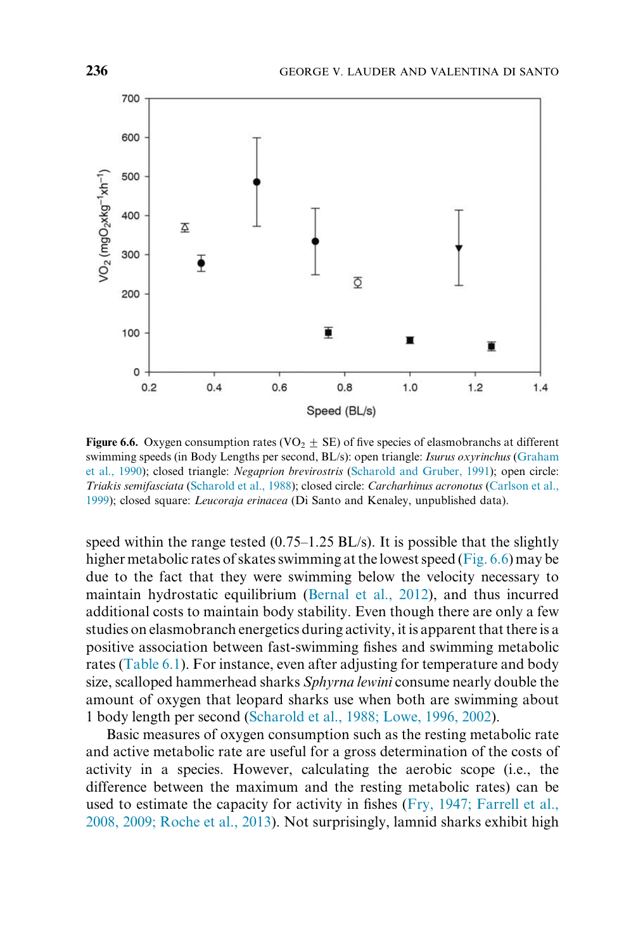

Figure 6.6. Oxygen consumption rates (VO<sub>2</sub>  $\pm$  SE) of five species of elasmobranchs at different swimming speeds (in Body Lengths per second, BL/s): open triangle: Isurus oxyrinchus (Graham et al., 1990); closed triangle: Negaprion brevirostris (Scharold and Gruber, 1991); open circle: Triakis semifasciata (Scharold et al., 1988); closed circle: Carcharhinus acronotus (Carlson et al., 1999); closed square: Leucoraja erinacea (Di Santo and Kenaley, unpublished data).

speed within the range tested  $(0.75-1.25$  BL/s). It is possible that the slightly higher metabolic rates of skates swimming at the lowest speed (Fig. 6.6) may be due to the fact that they were swimming below the velocity necessary to maintain hydrostatic equilibrium (Bernal et al., 2012), and thus incurred additional costs to maintain body stability. Even though there are only a few studies on elasmobranch energetics during activity, it is apparent that there is a positive association between fast-swimming fishes and swimming metabolic rates (Table 6.1). For instance, even after adjusting for temperature and body size, scalloped hammerhead sharks Sphyrna lewini consume nearly double the amount of oxygen that leopard sharks use when both are swimming about 1 body length per second (Scharold et al., 1988; Lowe, 1996, 2002).

Basic measures of oxygen consumption such as the resting metabolic rate and active metabolic rate are useful for a gross determination of the costs of activity in a species. However, calculating the aerobic scope (i.e., the difference between the maximum and the resting metabolic rates) can be used to estimate the capacity for activity in fishes (Fry, 1947; Farrell et al., 2008, 2009; Roche et al., 2013). Not surprisingly, lamnid sharks exhibit high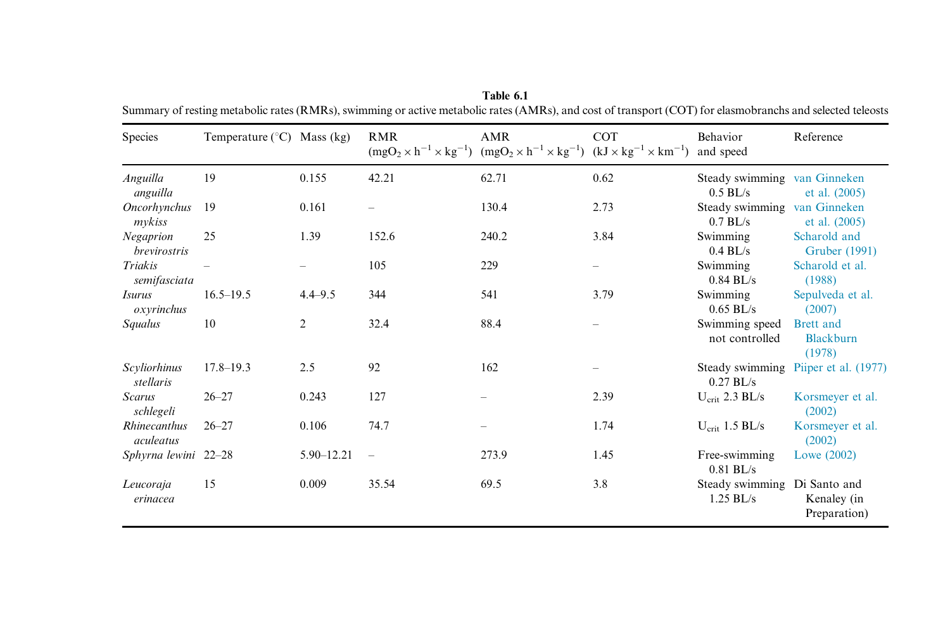| Species                     | Temperature $(^{\circ}C)$ Mass (kg) |                | <b>RMR</b>                      | <b>AMR</b><br>$(mgO_2 \times h^{-1} \times kg^{-1})$ $(mgO_2 \times h^{-1} \times kg^{-1})$ $(kJ \times kg^{-1} \times km^{-1})$ and speed | <b>COT</b>               | Behavior                                    | Reference                               |
|-----------------------------|-------------------------------------|----------------|---------------------------------|--------------------------------------------------------------------------------------------------------------------------------------------|--------------------------|---------------------------------------------|-----------------------------------------|
| Anguilla<br>anguilla        | 19                                  | 0.155          | 42.21                           | 62.71                                                                                                                                      | 0.62                     | Steady swimming van Ginneken<br>$0.5$ BL/s  | et al. (2005)                           |
| Oncorhynchus<br>mykiss      | 19                                  | 0.161          |                                 | 130.4                                                                                                                                      | 2.73                     | Steady swimming van Ginneken<br>$0.7$ BL/s  | et al. (2005)                           |
| Negaprion<br>brevirostris   | 25                                  | 1.39           | 152.6                           | 240.2                                                                                                                                      | 3.84                     | Swimming<br>$0.4$ BL/s                      | Scharold and<br>Gruber (1991)           |
| Triakis<br>semifasciata     |                                     |                | 105                             | 229                                                                                                                                        |                          | Swimming<br>$0.84$ BL/s                     | Scharold et al.<br>(1988)               |
| <i>Isurus</i><br>oxyrinchus | $16.5 - 19.5$                       | $4.4 - 9.5$    | 344                             | 541                                                                                                                                        | 3.79                     | Swimming<br>$0.65$ BL/s                     | Sepulveda et al.<br>(2007)              |
| Squalus                     | 10                                  | 2              | 32.4                            | 88.4                                                                                                                                       | $\overline{\phantom{0}}$ | Swimming speed<br>not controlled            | Brett and<br><b>Blackburn</b><br>(1978) |
| Scyliorhinus<br>stellaris   | $17.8 - 19.3$                       | 2.5            | 92                              | 162                                                                                                                                        |                          | $0.27$ BL/s                                 | Steady swimming Piiper et al. (1977)    |
| <b>Scarus</b><br>schlegeli  | $26 - 27$                           | 0.243          | 127                             |                                                                                                                                            | 2.39                     | $U_{\text{crit}}$ 2.3 BL/s                  | Korsmeyer et al.<br>(2002)              |
| Rhinecanthus<br>aculeatus   | $26 - 27$                           | 0.106          | 74.7                            |                                                                                                                                            | 1.74                     | $U_{\rm crit}$ 1.5 BL/s                     | Korsmeyer et al.<br>(2002)              |
| Sphyrna lewini 22-28        |                                     | $5.90 - 12.21$ | $\overbrace{\rule{2.5cm}{0pt}}$ | 273.9                                                                                                                                      | 1.45                     | Free-swimming<br>$0.81$ BL/s                | Lowe $(2002)$                           |
| Leucoraja<br>erinacea       | 15                                  | 0.009          | 35.54                           | 69.5                                                                                                                                       | 3.8                      | Steady swimming Di Santo and<br>$1.25$ BL/s | Kenaley (in<br>Preparation)             |

Table 6.1Summary of resting metabolic rates (RMRs), swimming or active metabolic rates (AMRs), and cost of transport (COT) for elasmobranchs and selected teleosts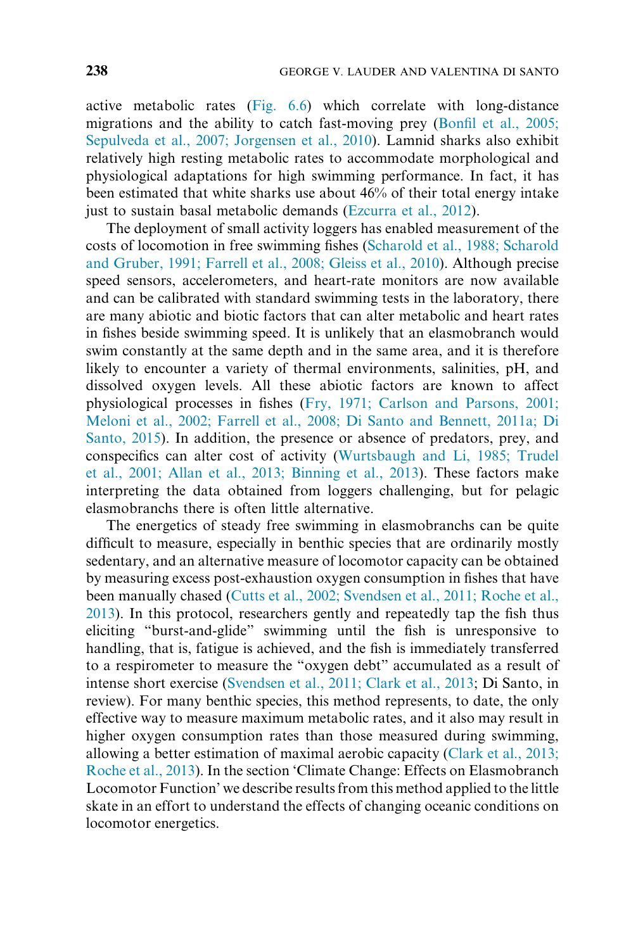active metabolic rates (Fig. 6.6) which correlate with long-distance migrations and the ability to catch fast-moving prey (Bonfil et al., 2005; Sepulveda et al., 2007; Jorgensen et al., 2010). Lamnid sharks also exhibit relatively high resting metabolic rates to accommodate morphological and physiological adaptations for high swimming performance. In fact, it has been estimated that white sharks use about 46% of their total energy intake just to sustain basal metabolic demands (Ezcurra et al., 2012).

The deployment of small activity loggers has enabled measurement of the costs of locomotion in free swimming fishes (Scharold et al., 1988; Scharold and Gruber, 1991; Farrell et al., 2008; Gleiss et al., 2010). Although precise speed sensors, accelerometers, and heart-rate monitors are now available and can be calibrated with standard swimming tests in the laboratory, there are many abiotic and biotic factors that can alter metabolic and heart rates in fishes beside swimming speed. It is unlikely that an elasmobranch would swim constantly at the same depth and in the same area, and it is therefore likely to encounter a variety of thermal environments, salinities, pH, and dissolved oxygen levels. All these abiotic factors are known to affect physiological processes in fishes (Fry, 1971; Carlson and Parsons, 2001; Meloni et al., 2002; Farrell et al., 2008; Di Santo and Bennett, 2011a; Di Santo, 2015). In addition, the presence or absence of predators, prey, and conspecifics can alter cost of activity (Wurtsbaugh and Li, 1985; Trudel et al., 2001; Allan et al., 2013; Binning et al., 2013). These factors make interpreting the data obtained from loggers challenging, but for pelagic elasmobranchs there is often little alternative.

The energetics of steady free swimming in elasmobranchs can be quite difficult to measure, especially in benthic species that are ordinarily mostly sedentary, and an alternative measure of locomotor capacity can be obtained by measuring excess post-exhaustion oxygen consumption in fishes that have been manually chased (Cutts et al., 2002; Svendsen et al., 2011; Roche et al., 2013). In this protocol, researchers gently and repeatedly tap the fish thus eliciting "burst-and-glide" swimming until the fish is unresponsive to handling, that is, fatigue is achieved, and the fish is immediately transferred to a respirometer to measure the "oxygen debt" accumulated as a result of intense short exercise (Svendsen et al., 2011; Clark et al., 2013; Di Santo, in review). For many benthic species, this method represents, to date, the only effective way to measure maximum metabolic rates, and it also may result in higher oxygen consumption rates than those measured during swimming, allowing a better estimation of maximal aerobic capacity (Clark et al., 2013; Roche et al., 2013). In the section 'Climate Change: Effects on Elasmobranch Locomotor Function' we describe results from this method applied to the little skate in an effort to understand the effects of changing oceanic conditions on locomotor energetics.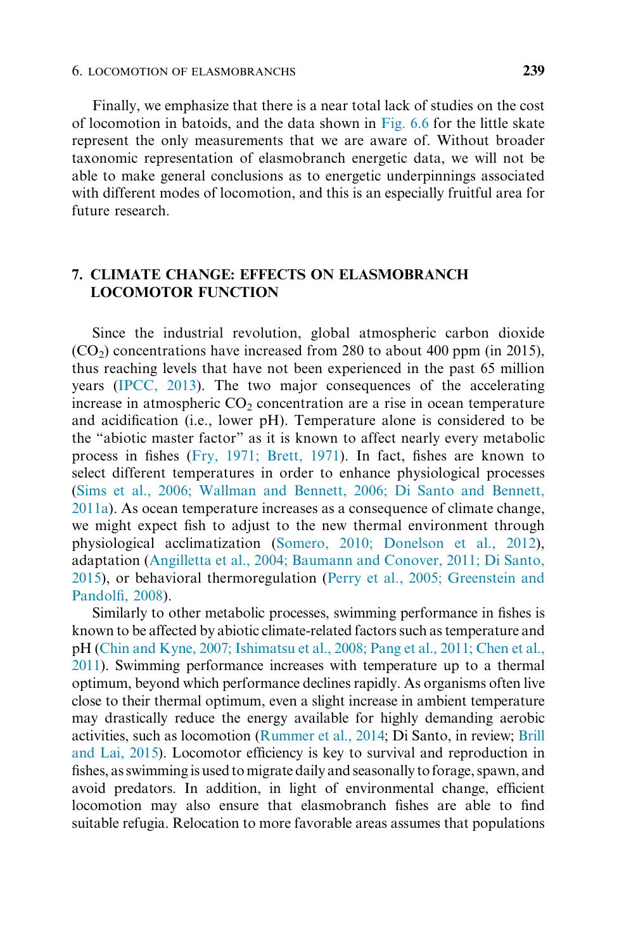Finally, we emphasize that there is a near total lack of studies on the cost of locomotion in batoids, and the data shown in Fig. 6.6 for the little skate represent the only measurements that we are aware of. Without broader taxonomic representation of elasmobranch energetic data, we will not be able to make general conclusions as to energetic underpinnings associated with different modes of locomotion, and this is an especially fruitful area for future research.

## 7. CLIMATE CHANGE: EFFECTS ON ELASMOBRANCH LOCOMOTOR FUNCTION

Since the industrial revolution, global atmospheric carbon dioxide  $(CO<sub>2</sub>)$  concentrations have increased from 280 to about 400 ppm (in 2015), thus reaching levels that have not been experienced in the past 65 million years (IPCC, 2013). The two major consequences of the accelerating increase in atmospheric  $CO<sub>2</sub>$  concentration are a rise in ocean temperature and acidification (i.e., lower pH). Temperature alone is considered to be the "abiotic master factor" as it is known to affect nearly every metabolic process in fishes (Fry, 1971; Brett, 1971). In fact, fishes are known to select different temperatures in order to enhance physiological processes (Sims et al., 2006; Wallman and Bennett, 2006; Di Santo and Bennett, 2011a). As ocean temperature increases as a consequence of climate change, we might expect fish to adjust to the new thermal environment through physiological acclimatization (Somero, 2010; Donelson et al., 2012), adaptation (Angilletta et al., 2004; Baumann and Conover, 2011; Di Santo, 2015), or behavioral thermoregulation (Perry et al., 2005; Greenstein and Pandolfi, 2008).

Similarly to other metabolic processes, swimming performance in fishes is known to be affected by abiotic climate-related factors such as temperature and pH (Chin and Kyne, 2007; Ishimatsu et al., 2008; Pang et al., 2011; Chen et al., 2011). Swimming performance increases with temperature up to a thermal optimum, beyond which performance declines rapidly. As organisms often live close to their thermal optimum, even a slight increase in ambient temperature may drastically reduce the energy available for highly demanding aerobic activities, such as locomotion (Rummer et al., 2014; Di Santo, in review; Brill and Lai, 2015). Locomotor efficiency is key to survival and reproduction in fishes, as swimming is used to migrate daily and seasonally to forage, spawn, and avoid predators. In addition, in light of environmental change, efficient locomotion may also ensure that elasmobranch fishes are able to find suitable refugia. Relocation to more favorable areas assumes that populations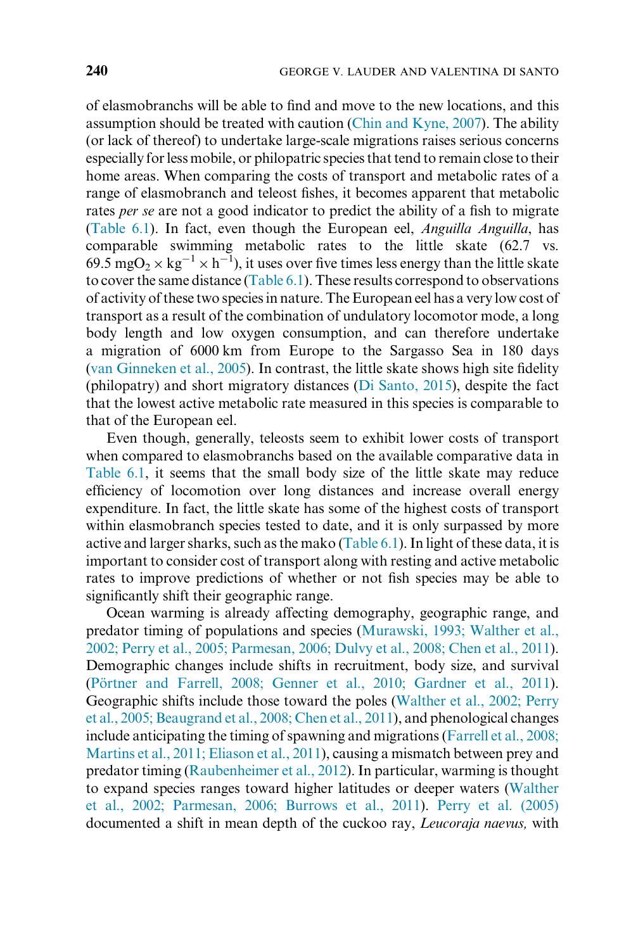of elasmobranchs will be able to find and move to the new locations, and this assumption should be treated with caution (Chin and Kyne, 2007). The ability (or lack of thereof) to undertake large-scale migrations raises serious concerns especially for less mobile, or philopatric species that tend to remain close to their home areas. When comparing the costs of transport and metabolic rates of a range of elasmobranch and teleost fishes, it becomes apparent that metabolic rates per se are not a good indicator to predict the ability of a fish to migrate (Table 6.1). In fact, even though the European eel, Anguilla Anguilla, has comparable swimming metabolic rates to the little skate (62.7 vs. 69.5 mgO<sub>2</sub> × kg<sup>-1</sup> × h<sup>-1</sup>), it uses over five times less energy than the little skate to cover the same distance (Table 6.1). These results correspond to observations of activity of these two species in nature. The European eel has a very low cost of transport as a result of the combination of undulatory locomotor mode, a long body length and low oxygen consumption, and can therefore undertake a migration of 6000 km from Europe to the Sargasso Sea in 180 days (van Ginneken et al., 2005). In contrast, the little skate shows high site fidelity (philopatry) and short migratory distances (Di Santo, 2015), despite the fact that the lowest active metabolic rate measured in this species is comparable to that of the European eel.

Even though, generally, teleosts seem to exhibit lower costs of transport when compared to elasmobranchs based on the available comparative data in Table 6.1, it seems that the small body size of the little skate may reduce efficiency of locomotion over long distances and increase overall energy expenditure. In fact, the little skate has some of the highest costs of transport within elasmobranch species tested to date, and it is only surpassed by more active and larger sharks, such as the mako (Table 6.1). In light of these data, it is important to consider cost of transport along with resting and active metabolic rates to improve predictions of whether or not fish species may be able to significantly shift their geographic range.

Ocean warming is already affecting demography, geographic range, and predator timing of populations and species (Murawski, 1993; Walther et al., 2002; Perry et al., 2005; Parmesan, 2006; Dulvy et al., 2008; Chen et al., 2011). Demographic changes include shifts in recruitment, body size, and survival (Pörtner and Farrell, 2008; Genner et al., 2010; Gardner et al., 2011). Geographic shifts include those toward the poles (Walther et al., 2002; Perry et al., 2005; Beaugrand et al., 2008; Chen et al., 2011), and phenological changes include anticipating the timing of spawning and migrations (Farrell et al., 2008; Martins et al., 2011; Eliason et al., 2011), causing a mismatch between prey and predator timing (Raubenheimer et al., 2012). In particular, warming is thought to expand species ranges toward higher latitudes or deeper waters (Walther et al., 2002; Parmesan, 2006; Burrows et al., 2011). Perry et al. (2005) documented a shift in mean depth of the cuckoo ray, Leucoraja naevus, with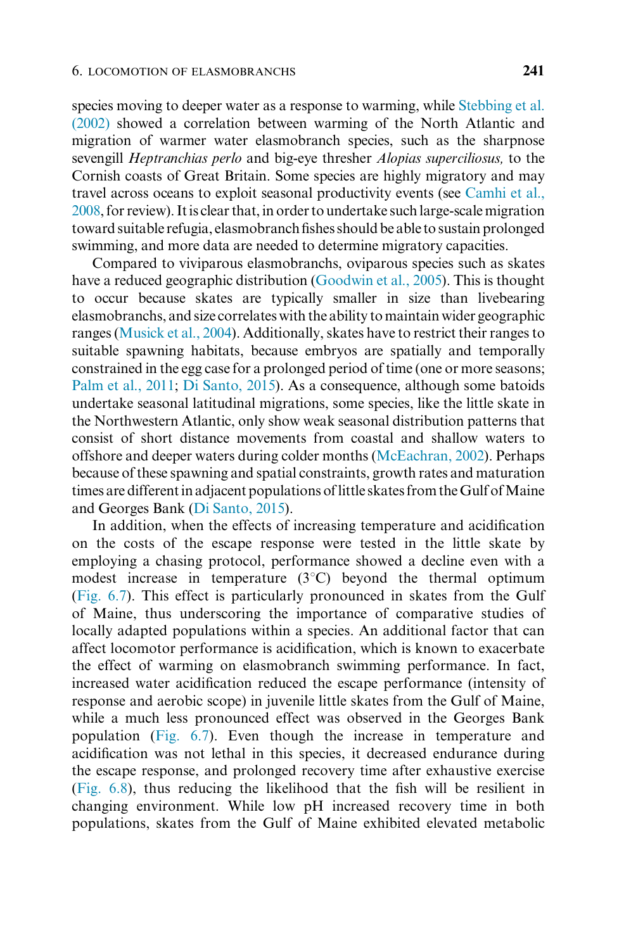species moving to deeper water as a response to warming, while Stebbing et al. (2002) showed a correlation between warming of the North Atlantic and migration of warmer water elasmobranch species, such as the sharpnose sevengill *Heptranchias perlo* and big-eye thresher *Alopias superciliosus*, to the Cornish coasts of Great Britain. Some species are highly migratory and may travel across oceans to exploit seasonal productivity events (see Camhi et al., 2008, for review). It is clear that, in order to undertake such large-scale migration toward suitable refugia, elasmobranch fishes should be able to sustain prolonged swimming, and more data are needed to determine migratory capacities.

Compared to viviparous elasmobranchs, oviparous species such as skates have a reduced geographic distribution (Goodwin et al., 2005). This is thought to occur because skates are typically smaller in size than livebearing elasmobranchs, and size correlates with the ability tomaintain wider geographic ranges (Musick et al., 2004). Additionally, skates have to restrict their ranges to suitable spawning habitats, because embryos are spatially and temporally constrained in the egg case for a prolonged period of time (one or more seasons; Palm et al., 2011; Di Santo, 2015). As a consequence, although some batoids undertake seasonal latitudinal migrations, some species, like the little skate in the Northwestern Atlantic, only show weak seasonal distribution patterns that consist of short distance movements from coastal and shallow waters to offshore and deeper waters during colder months (McEachran, 2002). Perhaps because of these spawning and spatial constraints, growth rates and maturation times are different in adjacent populations of little skates from the Gulf of Maine and Georges Bank (Di Santo, 2015).

In addition, when the effects of increasing temperature and acidification on the costs of the escape response were tested in the little skate by employing a chasing protocol, performance showed a decline even with a modest increase in temperature  $(3^{\circ}C)$  beyond the thermal optimum (Fig. 6.7). This effect is particularly pronounced in skates from the Gulf of Maine, thus underscoring the importance of comparative studies of locally adapted populations within a species. An additional factor that can affect locomotor performance is acidification, which is known to exacerbate the effect of warming on elasmobranch swimming performance. In fact, increased water acidification reduced the escape performance (intensity of response and aerobic scope) in juvenile little skates from the Gulf of Maine, while a much less pronounced effect was observed in the Georges Bank population (Fig. 6.7). Even though the increase in temperature and acidification was not lethal in this species, it decreased endurance during the escape response, and prolonged recovery time after exhaustive exercise (Fig. 6.8), thus reducing the likelihood that the fish will be resilient in changing environment. While low pH increased recovery time in both populations, skates from the Gulf of Maine exhibited elevated metabolic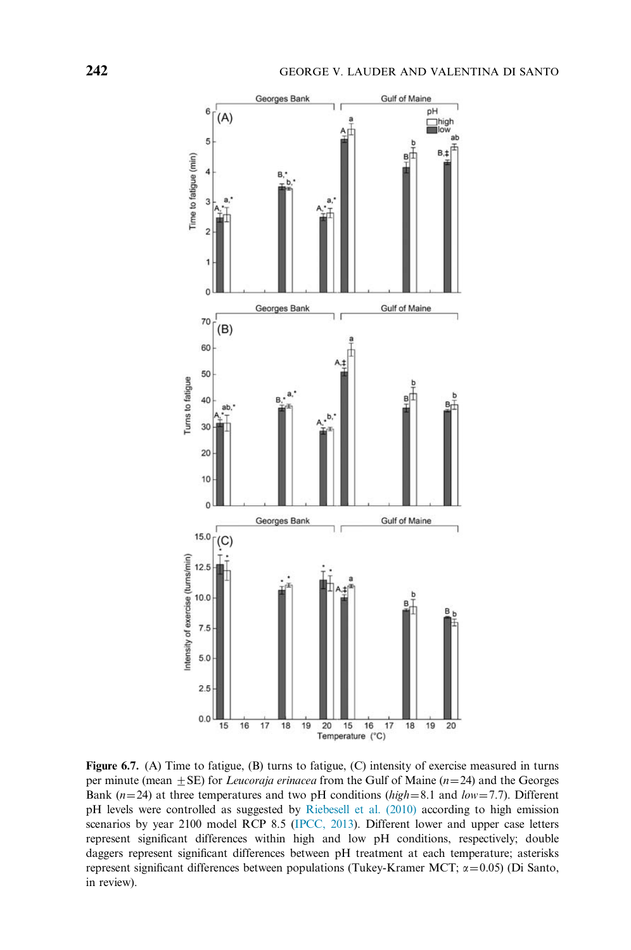

Figure 6.7. (A) Time to fatigue, (B) turns to fatigue, (C) intensity of exercise measured in turns per minute (mean  $\pm$  SE) for Leucoraja erinacea from the Gulf of Maine (n=24) and the Georges Bank ( $n=24$ ) at three temperatures and two pH conditions (high=8.1 and low=7.7). Different pH levels were controlled as suggested by Riebesell et al. (2010) according to high emission scenarios by year 2100 model RCP 8.5 (IPCC, 2013). Different lower and upper case letters represent significant differences within high and low pH conditions, respectively; double daggers represent significant differences between pH treatment at each temperature; asterisks represent significant differences between populations (Tukey-Kramer MCT;  $\alpha$ =0.05) (Di Santo, in review).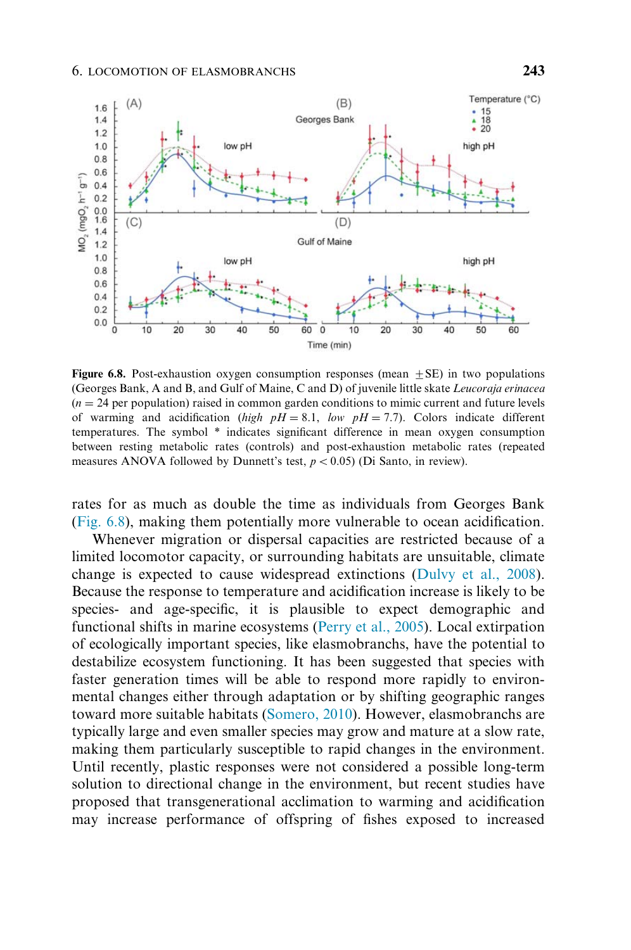

**Figure 6.8.** Post-exhaustion oxygen consumption responses (mean  $+SE$ ) in two populations (Georges Bank, A and B, and Gulf of Maine, C and D) of juvenile little skate Leucoraja erinacea  $(n = 24$  per population) raised in common garden conditions to mimic current and future levels of warming and acidification (high  $pH = 8.1$ , low  $pH = 7.7$ ). Colors indicate different temperatures. The symbol \* indicates significant difference in mean oxygen consumption between resting metabolic rates (controls) and post-exhaustion metabolic rates (repeated measures ANOVA followed by Dunnett's test,  $p < 0.05$ ) (Di Santo, in review).

rates for as much as double the time as individuals from Georges Bank (Fig. 6.8), making them potentially more vulnerable to ocean acidification.

Whenever migration or dispersal capacities are restricted because of a limited locomotor capacity, or surrounding habitats are unsuitable, climate change is expected to cause widespread extinctions (Dulvy et al., 2008). Because the response to temperature and acidification increase is likely to be species- and age-specific, it is plausible to expect demographic and functional shifts in marine ecosystems (Perry et al., 2005). Local extirpation of ecologically important species, like elasmobranchs, have the potential to destabilize ecosystem functioning. It has been suggested that species with faster generation times will be able to respond more rapidly to environmental changes either through adaptation or by shifting geographic ranges toward more suitable habitats (Somero, 2010). However, elasmobranchs are typically large and even smaller species may grow and mature at a slow rate, making them particularly susceptible to rapid changes in the environment. Until recently, plastic responses were not considered a possible long-term solution to directional change in the environment, but recent studies have proposed that transgenerational acclimation to warming and acidification may increase performance of offspring of fishes exposed to increased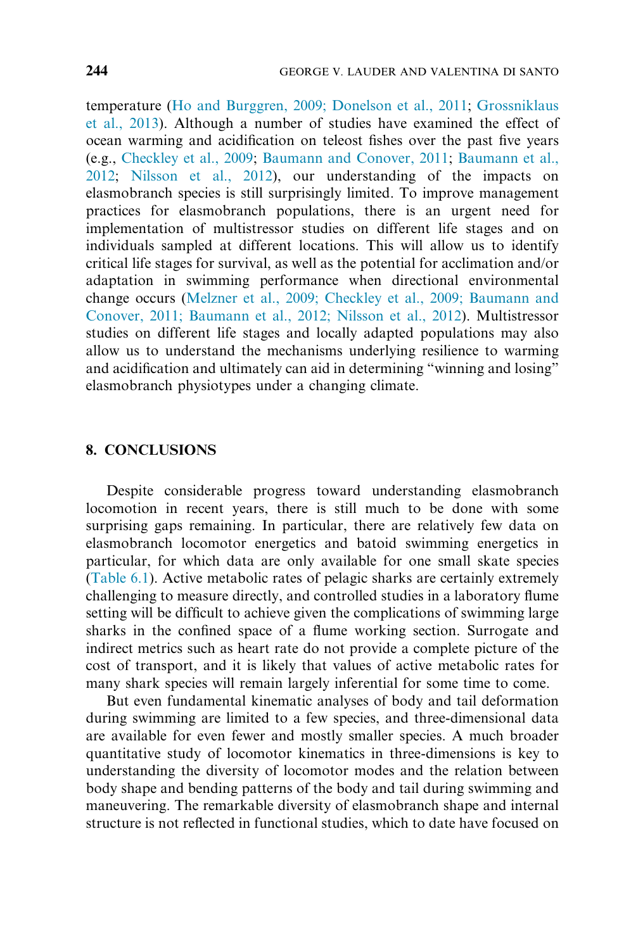temperature (Ho and Burggren, 2009; Donelson et al., 2011; Grossniklaus et al., 2013). Although a number of studies have examined the effect of ocean warming and acidification on teleost fishes over the past five years (e.g., Checkley et al., 2009; Baumann and Conover, 2011; Baumann et al., 2012; Nilsson et al., 2012), our understanding of the impacts on elasmobranch species is still surprisingly limited. To improve management practices for elasmobranch populations, there is an urgent need for implementation of multistressor studies on different life stages and on individuals sampled at different locations. This will allow us to identify critical life stages for survival, as well as the potential for acclimation and/or adaptation in swimming performance when directional environmental change occurs (Melzner et al., 2009; Checkley et al., 2009; Baumann and Conover, 2011; Baumann et al., 2012; Nilsson et al., 2012). Multistressor studies on different life stages and locally adapted populations may also allow us to understand the mechanisms underlying resilience to warming and acidification and ultimately can aid in determining "winning and losing" elasmobranch physiotypes under a changing climate.

## 8. CONCLUSIONS

Despite considerable progress toward understanding elasmobranch locomotion in recent years, there is still much to be done with some surprising gaps remaining. In particular, there are relatively few data on elasmobranch locomotor energetics and batoid swimming energetics in particular, for which data are only available for one small skate species (Table 6.1). Active metabolic rates of pelagic sharks are certainly extremely challenging to measure directly, and controlled studies in a laboratory flume setting will be difficult to achieve given the complications of swimming large sharks in the confined space of a flume working section. Surrogate and indirect metrics such as heart rate do not provide a complete picture of the cost of transport, and it is likely that values of active metabolic rates for many shark species will remain largely inferential for some time to come.

But even fundamental kinematic analyses of body and tail deformation during swimming are limited to a few species, and three-dimensional data are available for even fewer and mostly smaller species. A much broader quantitative study of locomotor kinematics in three-dimensions is key to understanding the diversity of locomotor modes and the relation between body shape and bending patterns of the body and tail during swimming and maneuvering. The remarkable diversity of elasmobranch shape and internal structure is not reflected in functional studies, which to date have focused on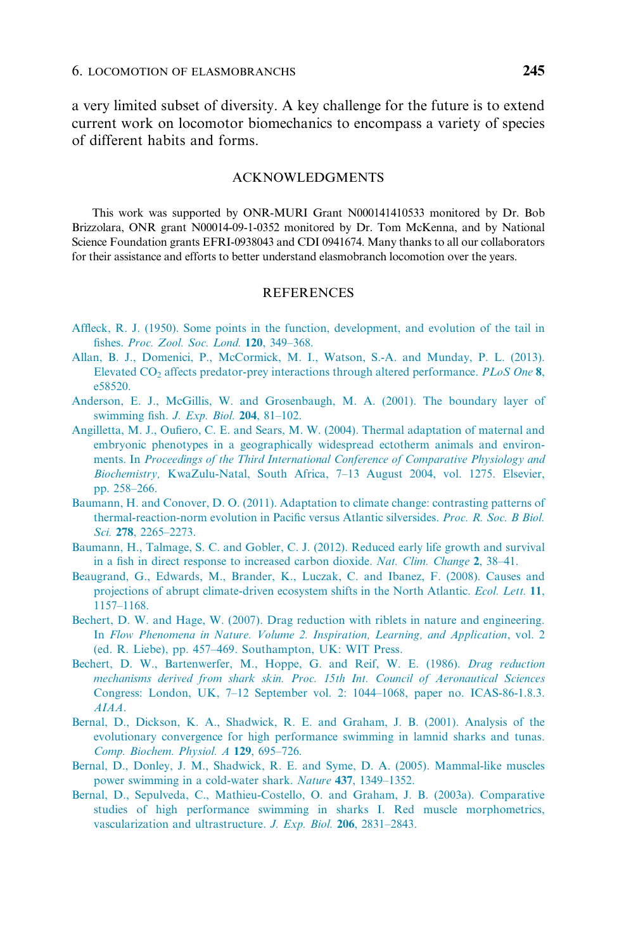a very limited subset of diversity. A key challenge for the future is to extend current work on locomotor biomechanics to encompass a variety of species of different habits and forms.

#### ACKNOWLEDGMENTS

This work was supported by ONR-MURI Grant N000141410533 monitored by Dr. Bob Brizzolara, ONR grant N00014-09-1-0352 monitored by Dr. Tom McKenna, and by National Science Foundation grants EFRI-0938043 and CDI 0941674. Many thanks to all our collaborators for their assistance and efforts to better understand elasmobranch locomotion over the years.

#### **REFERENCES**

- [Affleck, R. J. \(1950\). Some points in the function, development, and evolution of the tail in](http://refhub.elsevier.com/B978-0-12-801289-5.00006-7/sbref1) fishes. [Proc. Zool. Soc. Lond.](http://refhub.elsevier.com/B978-0-12-801289-5.00006-7/sbref1) 120, 349–368.
- [Allan, B. J., Domenici, P., McCormick, M. I., Watson, S.-A. and Munday, P. L. \(2013\).](http://refhub.elsevier.com/B978-0-12-801289-5.00006-7/sbref2) Elevated  $CO<sub>2</sub>$  [affects predator-prey interactions through altered performance.](http://refhub.elsevier.com/B978-0-12-801289-5.00006-7/sbref2) PLoS One 8, [e58520.](http://refhub.elsevier.com/B978-0-12-801289-5.00006-7/sbref2)
- [Anderson, E. J., McGillis, W. and Grosenbaugh, M. A. \(2001\). The boundary layer of](http://refhub.elsevier.com/B978-0-12-801289-5.00006-7/sbref3) [swimming fish.](http://refhub.elsevier.com/B978-0-12-801289-5.00006-7/sbref3) J. Exp. Biol. 204, 81–102.
- [Angilletta, M. J., Oufiero, C. E. and Sears, M. W. \(2004\). Thermal adaptation of maternal and](http://refhub.elsevier.com/B978-0-12-801289-5.00006-7/sbref4) [embryonic phenotypes in a geographically widespread ectotherm animals and environ](http://refhub.elsevier.com/B978-0-12-801289-5.00006-7/sbref4)ments. In [Proceedings of the Third International Conference of Comparative Physiology and](http://refhub.elsevier.com/B978-0-12-801289-5.00006-7/sbref4) Biochemistry, [KwaZulu-Natal, South Africa, 7–13 August 2004, vol. 1275. Elsevier,](http://refhub.elsevier.com/B978-0-12-801289-5.00006-7/sbref4) [pp. 258–266.](http://refhub.elsevier.com/B978-0-12-801289-5.00006-7/sbref4)
- [Baumann, H. and Conover, D. O. \(2011\). Adaptation to climate change: contrasting patterns of](http://refhub.elsevier.com/B978-0-12-801289-5.00006-7/sbref5) [thermal-reaction-norm evolution in Pacific versus Atlantic silversides.](http://refhub.elsevier.com/B978-0-12-801289-5.00006-7/sbref5) Proc. R. Soc. B Biol. Sci. 278[, 2265–2273.](http://refhub.elsevier.com/B978-0-12-801289-5.00006-7/sbref5)
- [Baumann, H., Talmage, S. C. and Gobler, C. J. \(2012\). Reduced early life growth and survival](http://refhub.elsevier.com/B978-0-12-801289-5.00006-7/sbref6) [in a fish in direct response to increased carbon dioxide.](http://refhub.elsevier.com/B978-0-12-801289-5.00006-7/sbref6) Nat. Clim. Change 2, 38–41.
- [Beaugrand, G., Edwards, M., Brander, K., Luczak, C. and Ibanez, F. \(2008\). Causes and](http://refhub.elsevier.com/B978-0-12-801289-5.00006-7/sbref7) [projections of abrupt climate-driven ecosystem shifts in the North Atlantic.](http://refhub.elsevier.com/B978-0-12-801289-5.00006-7/sbref7) Ecol. Lett. 11, [1157–1168.](http://refhub.elsevier.com/B978-0-12-801289-5.00006-7/sbref7)
- [Bechert, D. W. and Hage, W. \(2007\). Drag reduction with riblets in nature and engineering.](http://refhub.elsevier.com/B978-0-12-801289-5.00006-7/sbref8) In [Flow Phenomena in Nature. Volume 2. Inspiration, Learning, and Application](http://refhub.elsevier.com/B978-0-12-801289-5.00006-7/sbref8), vol. 2 [\(ed. R. Liebe\), pp. 457–469. Southampton, UK: WIT Press.](http://refhub.elsevier.com/B978-0-12-801289-5.00006-7/sbref8)
- [Bechert, D. W., Bartenwerfer, M., Hoppe, G. and Reif, W. E. \(1986\).](http://refhub.elsevier.com/B978-0-12-801289-5.00006-7/sbref9) Drag reduction [mechanisms derived from shark skin. Proc. 15th Int. Council of Aeronautical Sciences](http://refhub.elsevier.com/B978-0-12-801289-5.00006-7/sbref9) [Congress: London, UK, 7–12 September vol. 2: 1044–1068, paper no. ICAS-86-1.8.3.](http://refhub.elsevier.com/B978-0-12-801289-5.00006-7/sbref9) [AIAA](http://refhub.elsevier.com/B978-0-12-801289-5.00006-7/sbref9).
- [Bernal, D., Dickson, K. A., Shadwick, R. E. and Graham, J. B. \(2001\). Analysis of the](http://refhub.elsevier.com/B978-0-12-801289-5.00006-7/sbref11) [evolutionary convergence for high performance swimming in lamnid sharks and tunas.](http://refhub.elsevier.com/B978-0-12-801289-5.00006-7/sbref11) [Comp. Biochem. Physiol. A](http://refhub.elsevier.com/B978-0-12-801289-5.00006-7/sbref11) 129, 695–726.
- [Bernal, D., Donley, J. M., Shadwick, R. E. and Syme, D. A. \(2005\). Mammal-like muscles](http://refhub.elsevier.com/B978-0-12-801289-5.00006-7/sbref12) [power swimming in a cold-water shark.](http://refhub.elsevier.com/B978-0-12-801289-5.00006-7/sbref12) Nature 437, 1349–1352.
- [Bernal, D., Sepulveda, C., Mathieu-Costello, O. and Graham, J. B. \(2003a\). Comparative](http://refhub.elsevier.com/B978-0-12-801289-5.00006-7/sbref13) [studies of high performance swimming in sharks I. Red muscle morphometrics,](http://refhub.elsevier.com/B978-0-12-801289-5.00006-7/sbref13) [vascularization and ultrastructure.](http://refhub.elsevier.com/B978-0-12-801289-5.00006-7/sbref13) J. Exp. Biol. 206, 2831–2843.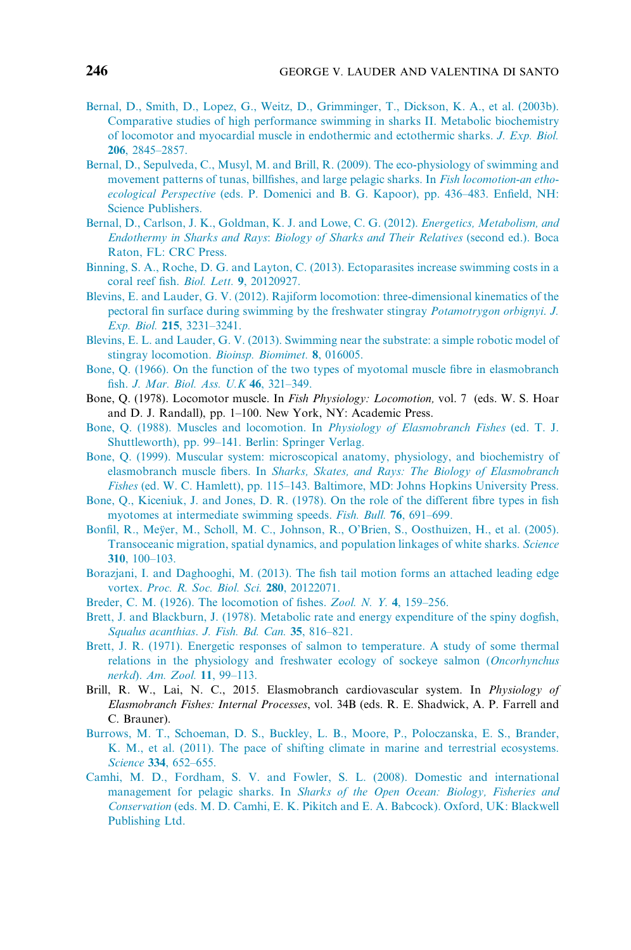- [Bernal, D., Smith, D., Lopez, G., Weitz, D., Grimminger, T., Dickson, K. A., et al. \(2003b\).](http://refhub.elsevier.com/B978-0-12-801289-5.00006-7/sbref14) [Comparative studies of high performance swimming in sharks II. Metabolic biochemistry](http://refhub.elsevier.com/B978-0-12-801289-5.00006-7/sbref14) [of locomotor and myocardial muscle in endothermic and ectothermic sharks.](http://refhub.elsevier.com/B978-0-12-801289-5.00006-7/sbref14) J. Exp. Biol. 206[, 2845–2857.](http://refhub.elsevier.com/B978-0-12-801289-5.00006-7/sbref14)
- [Bernal, D., Sepulveda, C., Musyl, M. and Brill, R. \(2009\). The eco-physiology of swimming and](http://refhub.elsevier.com/B978-0-12-801289-5.00006-7/sbref15) [movement patterns of tunas, billfishes, and large pelagic sharks. In](http://refhub.elsevier.com/B978-0-12-801289-5.00006-7/sbref15) Fish locomotion-an ethoecological Perspective [\(eds. P. Domenici and B. G. Kapoor\), pp. 436–483. Enfield, NH:](http://refhub.elsevier.com/B978-0-12-801289-5.00006-7/sbref15) [Science Publishers.](http://refhub.elsevier.com/B978-0-12-801289-5.00006-7/sbref15)
- [Bernal, D., Carlson, J. K., Goldman, K. J. and Lowe, C. G. \(2012\).](http://refhub.elsevier.com/B978-0-12-801289-5.00006-7/sbref16) Energetics, Metabolism, and Endothermy in Sharks and Rays: [Biology of Sharks and Their Relatives](http://refhub.elsevier.com/B978-0-12-801289-5.00006-7/sbref16) (second ed.). Boca [Raton, FL: CRC Press.](http://refhub.elsevier.com/B978-0-12-801289-5.00006-7/sbref16)
- [Binning, S. A., Roche, D. G. and Layton, C. \(2013\). Ectoparasites increase swimming costs in a](http://refhub.elsevier.com/B978-0-12-801289-5.00006-7/sbref17) [coral reef fish.](http://refhub.elsevier.com/B978-0-12-801289-5.00006-7/sbref17) Biol. Lett. 9, 20120927.
- [Blevins, E. and Lauder, G. V. \(2012\). Rajiform locomotion: three-dimensional kinematics of the](http://refhub.elsevier.com/B978-0-12-801289-5.00006-7/sbref18) [pectoral fin surface during swimming by the freshwater stingray](http://refhub.elsevier.com/B978-0-12-801289-5.00006-7/sbref18) Potamotrygon orbignyi. J. Exp. Biol. 215[, 3231–3241.](http://refhub.elsevier.com/B978-0-12-801289-5.00006-7/sbref18)
- [Blevins, E. L. and Lauder, G. V. \(2013\). Swimming near the substrate: a simple robotic model of](http://refhub.elsevier.com/B978-0-12-801289-5.00006-7/sbref19) [stingray locomotion.](http://refhub.elsevier.com/B978-0-12-801289-5.00006-7/sbref19) Bioinsp. Biomimet. 8, 016005.
- [Bone, Q. \(1966\). On the function of the two types of myotomal muscle fibre in elasmobranch](http://refhub.elsevier.com/B978-0-12-801289-5.00006-7/sbref20) fish. [J. Mar. Biol. Ass. U.K](http://refhub.elsevier.com/B978-0-12-801289-5.00006-7/sbref20) 46, 321–349.
- Bone, Q. (1978). Locomotor muscle. In Fish Physiology: Locomotion, vol. 7 (eds. W. S. Hoar and D. J. Randall), pp. 1–100. New York, NY: Academic Press.
- [Bone, Q. \(1988\). Muscles and locomotion. In](http://refhub.elsevier.com/B978-0-12-801289-5.00006-7/sbref22) Physiology of Elasmobranch Fishes (ed. T. J. [Shuttleworth\), pp. 99–141. Berlin: Springer Verlag.](http://refhub.elsevier.com/B978-0-12-801289-5.00006-7/sbref22)
- [Bone, Q. \(1999\). Muscular system: microscopical anatomy, physiology, and biochemistry of](http://refhub.elsevier.com/B978-0-12-801289-5.00006-7/sbref23) elasmobranch muscle fibers. In [Sharks, Skates, and Rays: The Biology of Elasmobranch](http://refhub.elsevier.com/B978-0-12-801289-5.00006-7/sbref23) Fishes [\(ed. W. C. Hamlett\), pp. 115–143. Baltimore, MD: Johns Hopkins University Press.](http://refhub.elsevier.com/B978-0-12-801289-5.00006-7/sbref23)
- [Bone, Q., Kiceniuk, J. and Jones, D. R. \(1978\). On the role of the different fibre types in fish](http://refhub.elsevier.com/B978-0-12-801289-5.00006-7/sbref24) [myotomes at intermediate swimming speeds.](http://refhub.elsevier.com/B978-0-12-801289-5.00006-7/sbref24) Fish. Bull. 76, 691–699.
- Bonfil, R., Meÿer, M., Scholl, M. C., Johnson, R., O'Brien, S., Oosthuizen, H., et al. (2005). [Transoceanic migration, spatial dynamics, and population linkages of white sharks.](http://refhub.elsevier.com/B978-0-12-801289-5.00006-7/sbref25) Science 310[, 100–103.](http://refhub.elsevier.com/B978-0-12-801289-5.00006-7/sbref25)
- [Borazjani, I. and Daghooghi, M. \(2013\). The fish tail motion forms an attached leading edge](http://refhub.elsevier.com/B978-0-12-801289-5.00006-7/sbref26) vortex. [Proc. R. Soc. Biol. Sci.](http://refhub.elsevier.com/B978-0-12-801289-5.00006-7/sbref26) 280, 20122071.
- [Breder, C. M. \(1926\). The locomotion of fishes.](http://refhub.elsevier.com/B978-0-12-801289-5.00006-7/sbref27) Zool. N. Y. 4, 159–256.
- [Brett, J. and Blackburn, J. \(1978\). Metabolic rate and energy expenditure of the spiny dogfish,](http://refhub.elsevier.com/B978-0-12-801289-5.00006-7/sbref28) [Squalus acanthias](http://refhub.elsevier.com/B978-0-12-801289-5.00006-7/sbref28). J. Fish. Bd. Can. 35, 816–821.
- [Brett, J. R. \(1971\). Energetic responses of salmon to temperature. A study of some thermal](http://refhub.elsevier.com/B978-0-12-801289-5.00006-7/sbref29) [relations in the physiology and freshwater ecology of sockeye salmon \(](http://refhub.elsevier.com/B978-0-12-801289-5.00006-7/sbref29)Oncorhynchus nerkd). [Am. Zool.](http://refhub.elsevier.com/B978-0-12-801289-5.00006-7/sbref29) 11, 99–113.
- Brill, R. W., Lai, N. C., 2015. Elasmobranch cardiovascular system. In Physiology of Elasmobranch Fishes: Internal Processes, vol. 34B (eds. R. E. Shadwick, A. P. Farrell and C. Brauner).
- [Burrows, M. T., Schoeman, D. S., Buckley, L. B., Moore, P., Poloczanska, E. S., Brander,](http://refhub.elsevier.com/B978-0-12-801289-5.00006-7/sbref31) [K. M., et al. \(2011\). The pace of shifting climate in marine and terrestrial ecosystems.](http://refhub.elsevier.com/B978-0-12-801289-5.00006-7/sbref31) Science 334[, 652–655.](http://refhub.elsevier.com/B978-0-12-801289-5.00006-7/sbref31)
- [Camhi, M. D., Fordham, S. V. and Fowler, S. L. \(2008\). Domestic and international](http://refhub.elsevier.com/B978-0-12-801289-5.00006-7/sbref32) management for pelagic sharks. In [Sharks of the Open Ocean: Biology, Fisheries and](http://refhub.elsevier.com/B978-0-12-801289-5.00006-7/sbref32) Conservation [\(eds. M. D. Camhi, E. K. Pikitch and E. A. Babcock\). Oxford, UK: Blackwell](http://refhub.elsevier.com/B978-0-12-801289-5.00006-7/sbref32) [Publishing Ltd.](http://refhub.elsevier.com/B978-0-12-801289-5.00006-7/sbref32)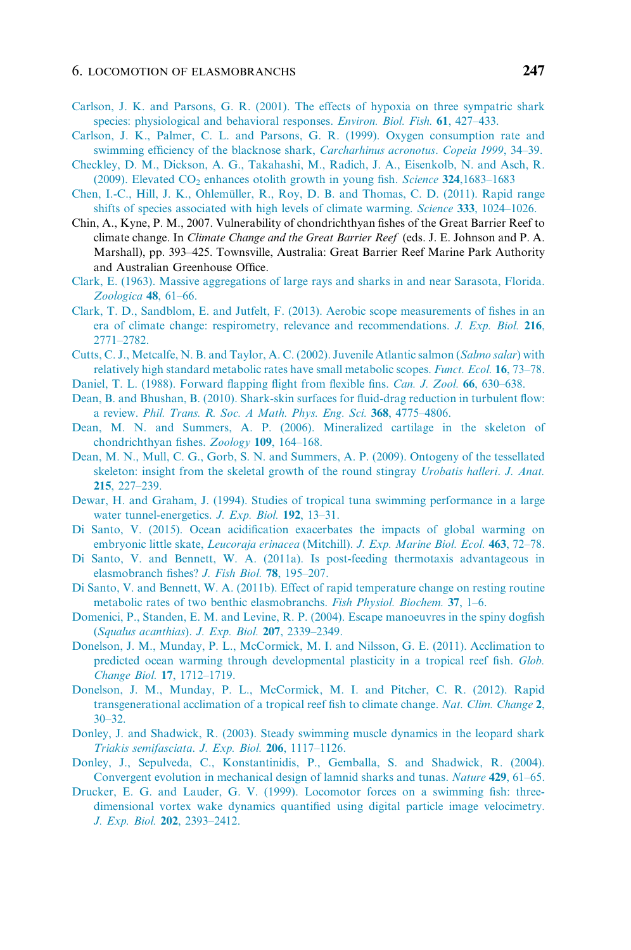- [Carlson, J. K. and Parsons, G. R. \(2001\). The effects of hypoxia on three sympatric shark](http://refhub.elsevier.com/B978-0-12-801289-5.00006-7/sbref33) [species: physiological and behavioral responses.](http://refhub.elsevier.com/B978-0-12-801289-5.00006-7/sbref33) Environ. Biol. Fish. 61, 427–433.
- [Carlson, J. K., Palmer, C. L. and Parsons, G. R. \(1999\). Oxygen consumption rate and](http://refhub.elsevier.com/B978-0-12-801289-5.00006-7/sbref34) [swimming efficiency of the blacknose shark,](http://refhub.elsevier.com/B978-0-12-801289-5.00006-7/sbref34) Carcharhinus acronotus. Copeia 1999, 34–39.
- [Checkley, D. M., Dickson, A. G., Takahashi, M., Radich, J. A., Eisenkolb, N. and Asch, R.](http://refhub.elsevier.com/B978-0-12-801289-5.00006-7/sbref35) (2009). Elevated  $CO<sub>2</sub>$  [enhances otolith growth in young fish.](http://refhub.elsevier.com/B978-0-12-801289-5.00006-7/sbref35) Science  $324,1683-1683$
- Chen, I.-C., Hill, J. K., Ohlemüller, R., Roy, D. B. and Thomas, C. D. (2011). Rapid range [shifts of species associated with high levels of climate warming.](http://refhub.elsevier.com/B978-0-12-801289-5.00006-7/sbref36) Science 333, 1024–1026.
- Chin, A., Kyne, P. M., 2007. Vulnerability of chondrichthyan fishes of the Great Barrier Reef to climate change. In Climate Change and the Great Barrier Reef (eds. J. E. Johnson and P. A. Marshall), pp. 393–425. Townsville, Australia: Great Barrier Reef Marine Park Authority and Australian Greenhouse Office.
- [Clark, E. \(1963\). Massive aggregations of large rays and sharks in and near Sarasota, Florida.](http://refhub.elsevier.com/B978-0-12-801289-5.00006-7/sbref37) [Zoologica](http://refhub.elsevier.com/B978-0-12-801289-5.00006-7/sbref37) 48, 61–66.
- [Clark, T. D., Sandblom, E. and Jutfelt, F. \(2013\). Aerobic scope measurements of fishes in an](http://refhub.elsevier.com/B978-0-12-801289-5.00006-7/sbref38) [era of climate change: respirometry, relevance and recommendations.](http://refhub.elsevier.com/B978-0-12-801289-5.00006-7/sbref38) J. Exp. Biol. 216, [2771–2782.](http://refhub.elsevier.com/B978-0-12-801289-5.00006-7/sbref38)
- [Cutts, C. J., Metcalfe, N. B. and Taylor, A. C. \(2002\). Juvenile Atlantic salmon \(](http://refhub.elsevier.com/B978-0-12-801289-5.00006-7/sbref40)Salmo salar) with [relatively high standard metabolic rates have small metabolic scopes.](http://refhub.elsevier.com/B978-0-12-801289-5.00006-7/sbref40) Funct. Ecol. 16, 73–78.
- [Daniel, T. L. \(1988\). Forward flapping flight from flexible fins.](http://refhub.elsevier.com/B978-0-12-801289-5.00006-7/sbref41) Can. J. Zool. 66, 630-638.
- [Dean, B. and Bhushan, B. \(2010\). Shark-skin surfaces for fluid-drag reduction in turbulent flow:](http://refhub.elsevier.com/B978-0-12-801289-5.00006-7/sbref42) a review. [Phil. Trans. R. Soc. A Math. Phys. Eng. Sci.](http://refhub.elsevier.com/B978-0-12-801289-5.00006-7/sbref42) 368, 4775–4806.
- [Dean, M. N. and Summers, A. P. \(2006\). Mineralized cartilage in the skeleton of](http://refhub.elsevier.com/B978-0-12-801289-5.00006-7/sbref43) [chondrichthyan fishes.](http://refhub.elsevier.com/B978-0-12-801289-5.00006-7/sbref43) Zoology 109, 164–168.
- [Dean, M. N., Mull, C. G., Gorb, S. N. and Summers, A. P. \(2009\). Ontogeny of the tessellated](http://refhub.elsevier.com/B978-0-12-801289-5.00006-7/sbref44) [skeleton: insight from the skeletal growth of the round stingray](http://refhub.elsevier.com/B978-0-12-801289-5.00006-7/sbref44) Urobatis halleri. J. Anat. 215[, 227–239.](http://refhub.elsevier.com/B978-0-12-801289-5.00006-7/sbref44)
- [Dewar, H. and Graham, J. \(1994\). Studies of tropical tuna swimming performance in a large](http://refhub.elsevier.com/B978-0-12-801289-5.00006-7/sbref45) [water tunnel-energetics.](http://refhub.elsevier.com/B978-0-12-801289-5.00006-7/sbref45) *J. Exp. Biol.* **192**, 13–31.
- [Di Santo, V. \(2015\). Ocean acidification exacerbates the impacts of global warming on](http://refhub.elsevier.com/B978-0-12-801289-5.00006-7/sbref46) embryonic little skate, Leucoraja erinacea (Mitchill). [J. Exp. Marine Biol. Ecol.](http://refhub.elsevier.com/B978-0-12-801289-5.00006-7/sbref46) 463, 72–78.
- [Di Santo, V. and Bennett, W. A. \(2011a\). Is post-feeding thermotaxis advantageous in](http://refhub.elsevier.com/B978-0-12-801289-5.00006-7/sbref47) [elasmobranch fishes?](http://refhub.elsevier.com/B978-0-12-801289-5.00006-7/sbref47) J. Fish Biol. 78, 195–207.
- [Di Santo, V. and Bennett, W. A. \(2011b\). Effect of rapid temperature change on resting routine](http://refhub.elsevier.com/B978-0-12-801289-5.00006-7/sbref48) [metabolic rates of two benthic elasmobranchs.](http://refhub.elsevier.com/B978-0-12-801289-5.00006-7/sbref48) Fish Physiol. Biochem. 37, 1–6.
- [Domenici, P., Standen, E. M. and Levine, R. P. \(2004\). Escape manoeuvres in the spiny dogfish](http://refhub.elsevier.com/B978-0-12-801289-5.00006-7/sbref49) ([Squalus acanthias](http://refhub.elsevier.com/B978-0-12-801289-5.00006-7/sbref49)). J. Exp. Biol. 207, 2339–2349.
- [Donelson, J. M., Munday, P. L., McCormick, M. I. and Nilsson, G. E. \(2011\). Acclimation to](http://refhub.elsevier.com/B978-0-12-801289-5.00006-7/sbref403) [predicted ocean warming through developmental plasticity in a tropical reef fish.](http://refhub.elsevier.com/B978-0-12-801289-5.00006-7/sbref403) Glob. [Change Biol.](http://refhub.elsevier.com/B978-0-12-801289-5.00006-7/sbref403) 17, 1712–1719.
- [Donelson, J. M., Munday, P. L., McCormick, M. I. and Pitcher, C. R. \(2012\). Rapid](http://refhub.elsevier.com/B978-0-12-801289-5.00006-7/sbref50) [transgenerational acclimation of a tropical reef fish to climate change.](http://refhub.elsevier.com/B978-0-12-801289-5.00006-7/sbref50) Nat. Clim. Change 2, [30–32.](http://refhub.elsevier.com/B978-0-12-801289-5.00006-7/sbref50)
- [Donley, J. and Shadwick, R. \(2003\). Steady swimming muscle dynamics in the leopard shark](http://refhub.elsevier.com/B978-0-12-801289-5.00006-7/sbref51) [Triakis semifasciata](http://refhub.elsevier.com/B978-0-12-801289-5.00006-7/sbref51). J. Exp. Biol. 206, 1117–1126.
- [Donley, J., Sepulveda, C., Konstantinidis, P., Gemballa, S. and Shadwick, R. \(2004\).](http://refhub.elsevier.com/B978-0-12-801289-5.00006-7/sbref52) [Convergent evolution in mechanical design of lamnid sharks and tunas.](http://refhub.elsevier.com/B978-0-12-801289-5.00006-7/sbref52) Nature 429, 61–65.
- [Drucker, E. G. and Lauder, G. V. \(1999\). Locomotor forces on a swimming fish: three](http://refhub.elsevier.com/B978-0-12-801289-5.00006-7/sbref53)[dimensional vortex wake dynamics quantified using digital particle image velocimetry.](http://refhub.elsevier.com/B978-0-12-801289-5.00006-7/sbref53) J. Exp. Biol. 202[, 2393–2412.](http://refhub.elsevier.com/B978-0-12-801289-5.00006-7/sbref53)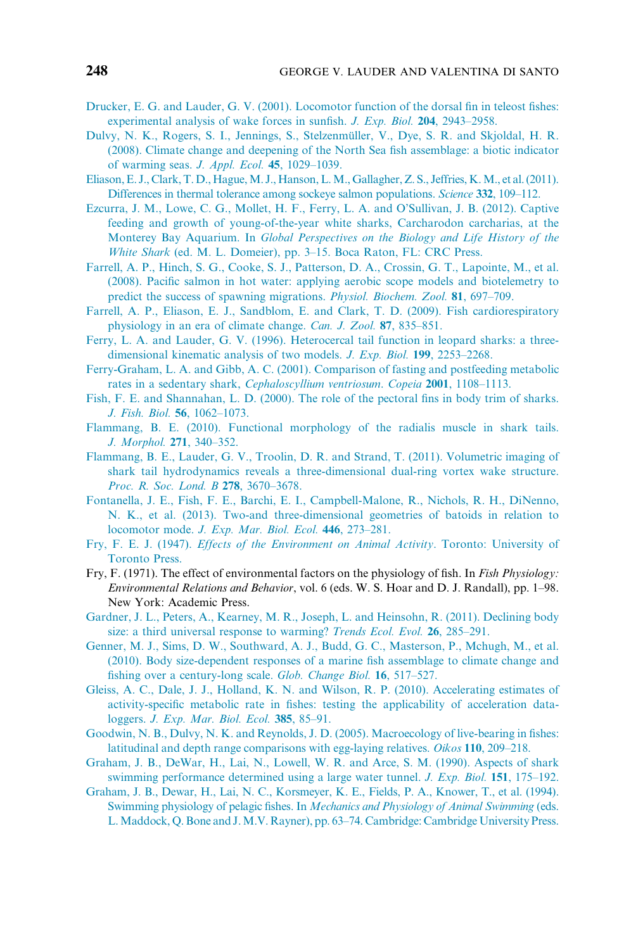- [Drucker, E. G. and Lauder, G. V. \(2001\). Locomotor function of the dorsal fin in teleost fishes:](http://refhub.elsevier.com/B978-0-12-801289-5.00006-7/sbref54) [experimental analysis of wake forces in sunfish.](http://refhub.elsevier.com/B978-0-12-801289-5.00006-7/sbref54) J. Exp. Biol. 204, 2943–2958.
- Dulvy, N. K., Rogers, S. I., Jennings, S., Stelzenmüller, V., Dye, S. R. and Skjoldal, H. R. [\(2008\). Climate change and deepening of the North Sea fish assemblage: a biotic indicator](http://refhub.elsevier.com/B978-0-12-801289-5.00006-7/sbref55) [of warming seas.](http://refhub.elsevier.com/B978-0-12-801289-5.00006-7/sbref55) J. Appl. Ecol. 45, 1029–1039.
- [Eliason, E. J., Clark, T. D., Hague,M. J., Hanson, L.M., Gallagher, Z. S., Jeffries, K.M., et al. \(2011\).](http://refhub.elsevier.com/B978-0-12-801289-5.00006-7/sbref56) [Differences in thermal tolerance among sockeye salmon populations.](http://refhub.elsevier.com/B978-0-12-801289-5.00006-7/sbref56) Science 332, 109–112.
- [Ezcurra, J. M., Lowe, C. G., Mollet, H. F., Ferry, L. A. and O'Sullivan, J. B. \(2012\). Captive](http://refhub.elsevier.com/B978-0-12-801289-5.00006-7/sbref57) [feeding and growth of young-of-the-year white sharks, Carcharodon carcharias, at the](http://refhub.elsevier.com/B978-0-12-801289-5.00006-7/sbref57) Monterey Bay Aquarium. In [Global Perspectives on the Biology and Life History of the](http://refhub.elsevier.com/B978-0-12-801289-5.00006-7/sbref57) White Shark [\(ed. M. L. Domeier\), pp. 3–15. Boca Raton, FL: CRC Press.](http://refhub.elsevier.com/B978-0-12-801289-5.00006-7/sbref57)
- [Farrell, A. P., Hinch, S. G., Cooke, S. J., Patterson, D. A., Crossin, G. T., Lapointe, M., et al.](http://refhub.elsevier.com/B978-0-12-801289-5.00006-7/sbref58) [\(2008\). Pacific salmon in hot water: applying aerobic scope models and biotelemetry to](http://refhub.elsevier.com/B978-0-12-801289-5.00006-7/sbref58) [predict the success of spawning migrations.](http://refhub.elsevier.com/B978-0-12-801289-5.00006-7/sbref58) Physiol. Biochem. Zool. 81, 697–709.
- [Farrell, A. P., Eliason, E. J., Sandblom, E. and Clark, T. D. \(2009\). Fish cardiorespiratory](http://refhub.elsevier.com/B978-0-12-801289-5.00006-7/sbref59) [physiology in an era of climate change.](http://refhub.elsevier.com/B978-0-12-801289-5.00006-7/sbref59) Can. J. Zool. 87, 835–851.
- [Ferry, L. A. and Lauder, G. V. \(1996\). Heterocercal tail function in leopard sharks: a three](http://refhub.elsevier.com/B978-0-12-801289-5.00006-7/sbref60)[dimensional kinematic analysis of two models.](http://refhub.elsevier.com/B978-0-12-801289-5.00006-7/sbref60) J. Exp. Biol. 199, 2253–2268.
- [Ferry-Graham, L. A. and Gibb, A. C. \(2001\). Comparison of fasting and postfeeding metabolic](http://refhub.elsevier.com/B978-0-12-801289-5.00006-7/sbref61) rates in a sedentary shark, [Cephaloscyllium ventriosum](http://refhub.elsevier.com/B978-0-12-801289-5.00006-7/sbref61). Copeia 2001, 1108–1113.
- [Fish, F. E. and Shannahan, L. D. \(2000\). The role of the pectoral fins in body trim of sharks.](http://refhub.elsevier.com/B978-0-12-801289-5.00006-7/sbref62) J. Fish. Biol. 56[, 1062–1073.](http://refhub.elsevier.com/B978-0-12-801289-5.00006-7/sbref62)
- [Flammang, B. E. \(2010\). Functional morphology of the radialis muscle in shark tails.](http://refhub.elsevier.com/B978-0-12-801289-5.00006-7/sbref63) [J. Morphol.](http://refhub.elsevier.com/B978-0-12-801289-5.00006-7/sbref63) 271, 340–352.
- [Flammang, B. E., Lauder, G. V., Troolin, D. R. and Strand, T. \(2011\). Volumetric imaging of](http://refhub.elsevier.com/B978-0-12-801289-5.00006-7/sbref64) [shark tail hydrodynamics reveals a three-dimensional dual-ring vortex wake structure.](http://refhub.elsevier.com/B978-0-12-801289-5.00006-7/sbref64) [Proc. R. Soc. Lond. B](http://refhub.elsevier.com/B978-0-12-801289-5.00006-7/sbref64) 278, 3670–3678.
- [Fontanella, J. E., Fish, F. E., Barchi, E. I., Campbell-Malone, R., Nichols, R. H., DiNenno,](http://refhub.elsevier.com/B978-0-12-801289-5.00006-7/sbref65) [N. K., et al. \(2013\). Two-and three-dimensional geometries of batoids in relation to](http://refhub.elsevier.com/B978-0-12-801289-5.00006-7/sbref65) locomotor mode. [J. Exp. Mar. Biol. Ecol.](http://refhub.elsevier.com/B978-0-12-801289-5.00006-7/sbref65) 446, 273–281.
- Fry, F. E. J. (1947). [Effects of the Environment on Animal Activity](http://refhub.elsevier.com/B978-0-12-801289-5.00006-7/sbref66). Toronto: University of [Toronto Press.](http://refhub.elsevier.com/B978-0-12-801289-5.00006-7/sbref66)
- Fry, F. (1971). The effect of environmental factors on the physiology of fish. In Fish Physiology: Environmental Relations and Behavior, vol. 6 (eds. W. S. Hoar and D. J. Randall), pp. 1–98. New York: Academic Press.
- [Gardner, J. L., Peters, A., Kearney, M. R., Joseph, L. and Heinsohn, R. \(2011\). Declining body](http://refhub.elsevier.com/B978-0-12-801289-5.00006-7/sbref68) [size: a third universal response to warming?](http://refhub.elsevier.com/B978-0-12-801289-5.00006-7/sbref68) *Trends Ecol. Evol.* 26, 285–291.
- [Genner, M. J., Sims, D. W., Southward, A. J., Budd, G. C., Masterson, P., Mchugh, M., et al.](http://refhub.elsevier.com/B978-0-12-801289-5.00006-7/sbref69) [\(2010\). Body size-dependent responses of a marine fish assemblage to climate change and](http://refhub.elsevier.com/B978-0-12-801289-5.00006-7/sbref69) [fishing over a century-long scale.](http://refhub.elsevier.com/B978-0-12-801289-5.00006-7/sbref69) Glob. Change Biol. 16, 517-527.
- [Gleiss, A. C., Dale, J. J., Holland, K. N. and Wilson, R. P. \(2010\). Accelerating estimates of](http://refhub.elsevier.com/B978-0-12-801289-5.00006-7/sbref70) [activity-specific metabolic rate in fishes: testing the applicability of acceleration data](http://refhub.elsevier.com/B978-0-12-801289-5.00006-7/sbref70)loggers. [J. Exp. Mar. Biol. Ecol.](http://refhub.elsevier.com/B978-0-12-801289-5.00006-7/sbref70) 385, 85–91.
- [Goodwin, N. B., Dulvy, N. K. and Reynolds, J. D. \(2005\). Macroecology of live-bearing in fishes:](http://refhub.elsevier.com/B978-0-12-801289-5.00006-7/sbref71) [latitudinal and depth range comparisons with egg-laying relatives.](http://refhub.elsevier.com/B978-0-12-801289-5.00006-7/sbref71) Oikos 110, 209–218.
- [Graham, J. B., DeWar, H., Lai, N., Lowell, W. R. and Arce, S. M. \(1990\). Aspects of shark](http://refhub.elsevier.com/B978-0-12-801289-5.00006-7/sbref72) [swimming performance determined using a large water tunnel.](http://refhub.elsevier.com/B978-0-12-801289-5.00006-7/sbref72) J. Exp. Biol. 151, 175–192.
- [Graham, J. B., Dewar, H., Lai, N. C., Korsmeyer, K. E., Fields, P. A., Knower, T., et al. \(1994\).](http://refhub.elsevier.com/B978-0-12-801289-5.00006-7/sbref73) Swimming physiology of pelagic fishes. In [Mechanics and Physiology of Animal Swimming](http://refhub.elsevier.com/B978-0-12-801289-5.00006-7/sbref73) (eds. [L.Maddock, Q. Bone and J.M.V. Rayner\), pp. 63–74. Cambridge: Cambridge University Press.](http://refhub.elsevier.com/B978-0-12-801289-5.00006-7/sbref73)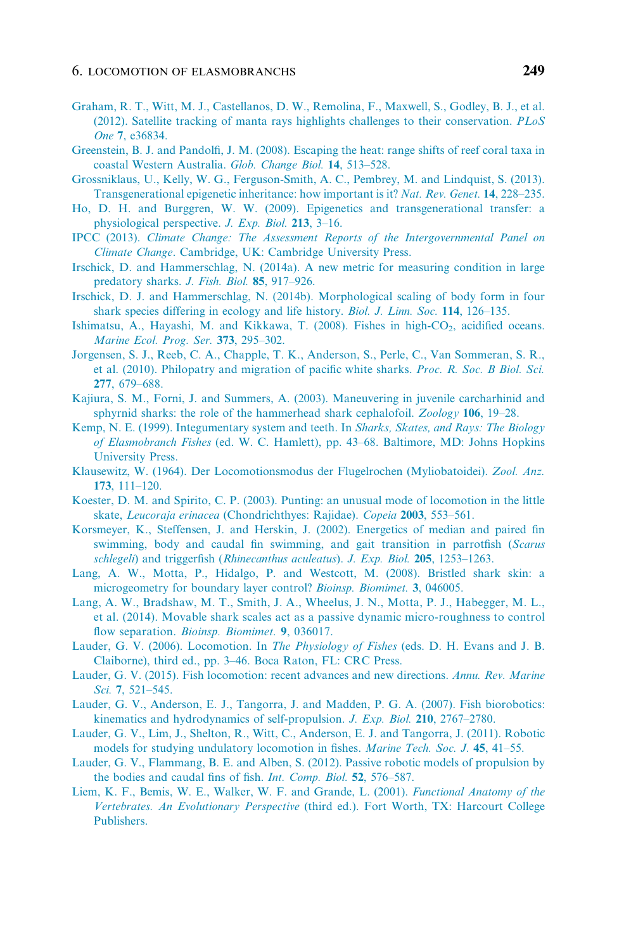- [Graham, R. T., Witt, M. J., Castellanos, D. W., Remolina, F., Maxwell, S., Godley, B. J., et al.](http://refhub.elsevier.com/B978-0-12-801289-5.00006-7/sbref74) [\(2012\). Satellite tracking of manta rays highlights challenges to their conservation.](http://refhub.elsevier.com/B978-0-12-801289-5.00006-7/sbref74) PLoS One 7[, e36834.](http://refhub.elsevier.com/B978-0-12-801289-5.00006-7/sbref74)
- [Greenstein, B. J. and Pandolfi, J. M. \(2008\). Escaping the heat: range shifts of reef coral taxa in](http://refhub.elsevier.com/B978-0-12-801289-5.00006-7/sbref75) [coastal Western Australia.](http://refhub.elsevier.com/B978-0-12-801289-5.00006-7/sbref75) Glob. Change Biol. 14, 513–528.
- [Grossniklaus, U., Kelly, W. G., Ferguson-Smith, A. C., Pembrey, M. and Lindquist, S. \(2013\).](http://refhub.elsevier.com/B978-0-12-801289-5.00006-7/sbref76) [Transgenerational epigenetic inheritance: how important is it?](http://refhub.elsevier.com/B978-0-12-801289-5.00006-7/sbref76) Nat. Rev. Genet. 14, 228–235.
- [Ho, D. H. and Burggren, W. W. \(2009\). Epigenetics and transgenerational transfer: a](http://refhub.elsevier.com/B978-0-12-801289-5.00006-7/sbref77) [physiological perspective.](http://refhub.elsevier.com/B978-0-12-801289-5.00006-7/sbref77) J. Exp. Biol. 213, 3–16.
- IPCC (2013). [Climate Change: The Assessment Reports of the Intergovernmental Panel on](http://refhub.elsevier.com/B978-0-12-801289-5.00006-7/sbref78) Climate Change[. Cambridge, UK: Cambridge University Press.](http://refhub.elsevier.com/B978-0-12-801289-5.00006-7/sbref78)
- [Irschick, D. and Hammerschlag, N. \(2014a\). A new metric for measuring condition in large](http://refhub.elsevier.com/B978-0-12-801289-5.00006-7/sbref79) [predatory sharks.](http://refhub.elsevier.com/B978-0-12-801289-5.00006-7/sbref79) J. Fish. Biol. 85, 917–926.
- [Irschick, D. J. and Hammerschlag, N. \(2014b\). Morphological scaling of body form in four](http://refhub.elsevier.com/B978-0-12-801289-5.00006-7/sbref80) [shark species differing in ecology and life history.](http://refhub.elsevier.com/B978-0-12-801289-5.00006-7/sbref80) *Biol. J. Linn. Soc.* 114, 126–135.
- Ishimatsu, A., Hayashi, M. and Kikkawa, T. (2008). Fishes in high-CO<sub>2</sub>, acidified oceans. [Marine Ecol. Prog. Ser.](http://refhub.elsevier.com/B978-0-12-801289-5.00006-7/sbref81) 373, 295–302.
- [Jorgensen, S. J., Reeb, C. A., Chapple, T. K., Anderson, S., Perle, C., Van Sommeran, S. R.,](http://refhub.elsevier.com/B978-0-12-801289-5.00006-7/sbref82) [et al. \(2010\). Philopatry and migration of pacific white sharks.](http://refhub.elsevier.com/B978-0-12-801289-5.00006-7/sbref82) Proc. R. Soc. B Biol. Sci. 277[, 679–688.](http://refhub.elsevier.com/B978-0-12-801289-5.00006-7/sbref82)
- [Kajiura, S. M., Forni, J. and Summers, A. \(2003\). Maneuvering in juvenile carcharhinid and](http://refhub.elsevier.com/B978-0-12-801289-5.00006-7/sbref83) [sphyrnid sharks: the role of the hammerhead shark cephalofoil.](http://refhub.elsevier.com/B978-0-12-801289-5.00006-7/sbref83) Zoology 106, 19–28.
- [Kemp, N. E. \(1999\). Integumentary system and teeth. In](http://refhub.elsevier.com/B978-0-12-801289-5.00006-7/sbref84) Sharks, Skates, and Rays: The Biology of Elasmobranch Fishes [\(ed. W. C. Hamlett\), pp. 43–68. Baltimore, MD: Johns Hopkins](http://refhub.elsevier.com/B978-0-12-801289-5.00006-7/sbref84) [University Press.](http://refhub.elsevier.com/B978-0-12-801289-5.00006-7/sbref84)
- [Klausewitz, W. \(1964\). Der Locomotionsmodus der Flugelrochen \(Myliobatoidei\).](http://refhub.elsevier.com/B978-0-12-801289-5.00006-7/sbref85) Zool. Anz. 173[, 111–120.](http://refhub.elsevier.com/B978-0-12-801289-5.00006-7/sbref85)
- [Koester, D. M. and Spirito, C. P. \(2003\). Punting: an unusual mode of locomotion in the little](http://refhub.elsevier.com/B978-0-12-801289-5.00006-7/sbref86) skate, Leucoraja erinacea [\(Chondrichthyes: Rajidae\).](http://refhub.elsevier.com/B978-0-12-801289-5.00006-7/sbref86) Copeia 2003, 553–561.
- [Korsmeyer, K., Steffensen, J. and Herskin, J. \(2002\). Energetics of median and paired fin](http://refhub.elsevier.com/B978-0-12-801289-5.00006-7/sbref87) [swimming, body and caudal fin swimming, and gait transition in parrotfish \(](http://refhub.elsevier.com/B978-0-12-801289-5.00006-7/sbref87)Scarus schlegeli) and triggerfish ([Rhinecanthus aculeatus](http://refhub.elsevier.com/B978-0-12-801289-5.00006-7/sbref87)). J. Exp. Biol. 205, 1253–1263.
- [Lang, A. W., Motta, P., Hidalgo, P. and Westcott, M. \(2008\). Bristled shark skin: a](http://refhub.elsevier.com/B978-0-12-801289-5.00006-7/sbref88) [microgeometry for boundary layer control?](http://refhub.elsevier.com/B978-0-12-801289-5.00006-7/sbref88) Bioinsp. Biomimet. 3, 046005.
- [Lang, A. W., Bradshaw, M. T., Smith, J. A., Wheelus, J. N., Motta, P. J., Habegger, M. L.,](http://refhub.elsevier.com/B978-0-12-801289-5.00006-7/sbref89) [et al. \(2014\). Movable shark scales act as a passive dynamic micro-roughness to control](http://refhub.elsevier.com/B978-0-12-801289-5.00006-7/sbref89) flow separation. *Bioinsp. Biomimet*. 9, 036017.
- [Lauder, G. V. \(2006\). Locomotion. In](http://refhub.elsevier.com/B978-0-12-801289-5.00006-7/sbref90) The Physiology of Fishes (eds. D. H. Evans and J. B. [Claiborne\), third ed., pp. 3–46. Boca Raton, FL: CRC Press.](http://refhub.elsevier.com/B978-0-12-801289-5.00006-7/sbref90)
- [Lauder, G. V. \(2015\). Fish locomotion: recent advances and new directions.](http://refhub.elsevier.com/B978-0-12-801289-5.00006-7/sbref91) Annu. Rev. Marine Sci. 7[, 521–545.](http://refhub.elsevier.com/B978-0-12-801289-5.00006-7/sbref91)
- [Lauder, G. V., Anderson, E. J., Tangorra, J. and Madden, P. G. A. \(2007\). Fish biorobotics:](http://refhub.elsevier.com/B978-0-12-801289-5.00006-7/sbref92) [kinematics and hydrodynamics of self-propulsion.](http://refhub.elsevier.com/B978-0-12-801289-5.00006-7/sbref92) J. Exp. Biol. 210, 2767–2780.
- [Lauder, G. V., Lim, J., Shelton, R., Witt, C., Anderson, E. J. and Tangorra, J. \(2011\). Robotic](http://refhub.elsevier.com/B978-0-12-801289-5.00006-7/sbref93) [models for studying undulatory locomotion in fishes.](http://refhub.elsevier.com/B978-0-12-801289-5.00006-7/sbref93) Marine Tech. Soc. J. 45, 41–55.
- [Lauder, G. V., Flammang, B. E. and Alben, S. \(2012\). Passive robotic models of propulsion by](http://refhub.elsevier.com/B978-0-12-801289-5.00006-7/sbref94) [the bodies and caudal fins of fish.](http://refhub.elsevier.com/B978-0-12-801289-5.00006-7/sbref94) Int. Comp. Biol. 52, 576–587.
- [Liem, K. F., Bemis, W. E., Walker, W. F. and Grande, L. \(2001\).](http://refhub.elsevier.com/B978-0-12-801289-5.00006-7/sbref95) Functional Anatomy of the Vertebrates. An Evolutionary Perspective [\(third ed.\). Fort Worth, TX: Harcourt College](http://refhub.elsevier.com/B978-0-12-801289-5.00006-7/sbref95) [Publishers.](http://refhub.elsevier.com/B978-0-12-801289-5.00006-7/sbref95)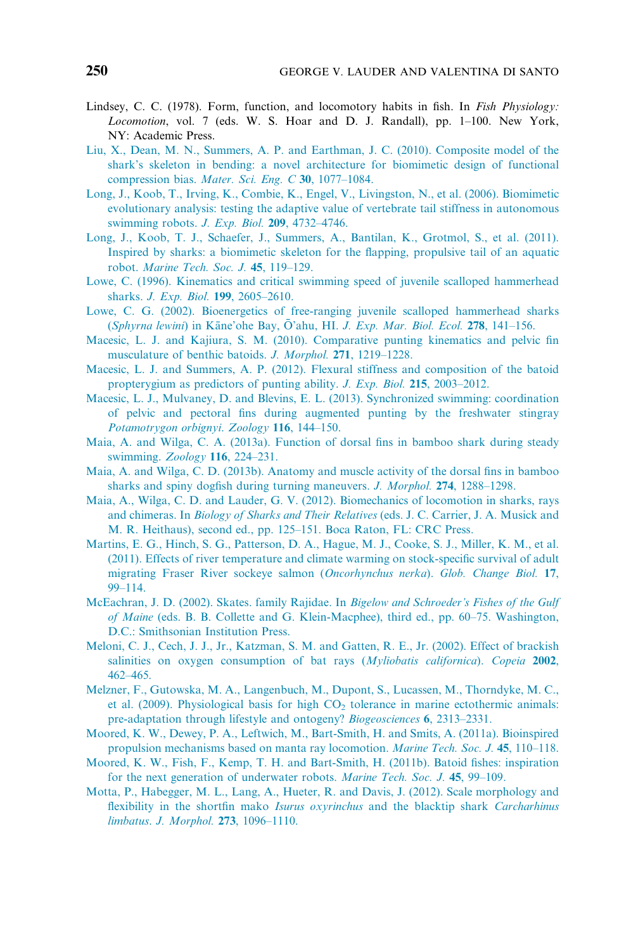- Lindsey, C. C. (1978). Form, function, and locomotory habits in fish. In Fish Physiology: Locomotion, vol. 7 (eds. W. S. Hoar and D. J. Randall), pp. 1–100. New York, NY: Academic Press.
- [Liu, X., Dean, M. N., Summers, A. P. and Earthman, J. C. \(2010\). Composite model of the](http://refhub.elsevier.com/B978-0-12-801289-5.00006-7/sbref97) [shark's skeleton in bending: a novel architecture for biomimetic design of functional](http://refhub.elsevier.com/B978-0-12-801289-5.00006-7/sbref97) compression bias. [Mater. Sci. Eng. C](http://refhub.elsevier.com/B978-0-12-801289-5.00006-7/sbref97) 30, 1077–1084.
- [Long, J., Koob, T., Irving, K., Combie, K., Engel, V., Livingston, N., et al. \(2006\). Biomimetic](http://refhub.elsevier.com/B978-0-12-801289-5.00006-7/sbref98) [evolutionary analysis: testing the adaptive value of vertebrate tail stiffness in autonomous](http://refhub.elsevier.com/B978-0-12-801289-5.00006-7/sbref98) [swimming robots.](http://refhub.elsevier.com/B978-0-12-801289-5.00006-7/sbref98) J. Exp. Biol. 209, 4732–4746.
- [Long, J., Koob, T. J., Schaefer, J., Summers, A., Bantilan, K., Grotmol, S., et al. \(2011\).](http://refhub.elsevier.com/B978-0-12-801289-5.00006-7/sbref99) [Inspired by sharks: a biomimetic skeleton for the flapping, propulsive tail of an aquatic](http://refhub.elsevier.com/B978-0-12-801289-5.00006-7/sbref99) robot. [Marine Tech. Soc. J.](http://refhub.elsevier.com/B978-0-12-801289-5.00006-7/sbref99) 45, 119–129.
- [Lowe, C. \(1996\). Kinematics and critical swimming speed of juvenile scalloped hammerhead](http://refhub.elsevier.com/B978-0-12-801289-5.00006-7/sbref100) sharks. J. Exp. Biol. 199[, 2605–2610.](http://refhub.elsevier.com/B978-0-12-801289-5.00006-7/sbref100)
- [Lowe, C. G. \(2002\). Bioenergetics of free-ranging juvenile scalloped hammerhead sharks](http://refhub.elsevier.com/B978-0-12-801289-5.00006-7/sbref101)  $(Sphvra lewini)$  in Kane'ohe Bay, O'ahu, HI. [J. Exp. Mar. Biol. Ecol.](http://refhub.elsevier.com/B978-0-12-801289-5.00006-7/sbref101) 278, 141–156.
- [Macesic, L. J. and Kajiura, S. M. \(2010\). Comparative punting kinematics and pelvic fin](http://refhub.elsevier.com/B978-0-12-801289-5.00006-7/sbref102) [musculature of benthic batoids.](http://refhub.elsevier.com/B978-0-12-801289-5.00006-7/sbref102) J. Morphol. 271, 1219–1228.
- [Macesic, L. J. and Summers, A. P. \(2012\). Flexural stiffness and composition of the batoid](http://refhub.elsevier.com/B978-0-12-801289-5.00006-7/sbref103) [propterygium as predictors of punting ability.](http://refhub.elsevier.com/B978-0-12-801289-5.00006-7/sbref103) J. Exp. Biol. 215, 2003–2012.
- [Macesic, L. J., Mulvaney, D. and Blevins, E. L. \(2013\). Synchronized swimming: coordination](http://refhub.elsevier.com/B978-0-12-801289-5.00006-7/sbref104) [of pelvic and pectoral fins during augmented punting by the freshwater stingray](http://refhub.elsevier.com/B978-0-12-801289-5.00006-7/sbref104) [Potamotrygon orbignyi](http://refhub.elsevier.com/B978-0-12-801289-5.00006-7/sbref104). Zoology 116, 144–150.
- [Maia, A. and Wilga, C. A. \(2013a\). Function of dorsal fins in bamboo shark during steady](http://refhub.elsevier.com/B978-0-12-801289-5.00006-7/sbref105) [swimming.](http://refhub.elsevier.com/B978-0-12-801289-5.00006-7/sbref105) Zoology 116, 224–231.
- [Maia, A. and Wilga, C. D. \(2013b\). Anatomy and muscle activity of the dorsal fins in bamboo](http://refhub.elsevier.com/B978-0-12-801289-5.00006-7/sbref106) [sharks and spiny dogfish during turning maneuvers.](http://refhub.elsevier.com/B978-0-12-801289-5.00006-7/sbref106) J. Morphol. 274, 1288–1298.
- [Maia, A., Wilga, C. D. and Lauder, G. V. \(2012\). Biomechanics of locomotion in sharks, rays](http://refhub.elsevier.com/B978-0-12-801289-5.00006-7/sbref107) and chimeras. In [Biology of Sharks and Their Relatives](http://refhub.elsevier.com/B978-0-12-801289-5.00006-7/sbref107) (eds. J. C. Carrier, J. A. Musick and [M. R. Heithaus\), second ed., pp. 125–151. Boca Raton, FL: CRC Press.](http://refhub.elsevier.com/B978-0-12-801289-5.00006-7/sbref107)
- [Martins, E. G., Hinch, S. G., Patterson, D. A., Hague, M. J., Cooke, S. J., Miller, K. M., et al.](http://refhub.elsevier.com/B978-0-12-801289-5.00006-7/sbref108) [\(2011\). Effects of river temperature and climate warming on stock-specific survival of adult](http://refhub.elsevier.com/B978-0-12-801289-5.00006-7/sbref108) [migrating Fraser River sockeye salmon \(](http://refhub.elsevier.com/B978-0-12-801289-5.00006-7/sbref108)Oncorhynchus nerka). Glob. Change Biol. 17, [99–114.](http://refhub.elsevier.com/B978-0-12-801289-5.00006-7/sbref108)
- [McEachran, J. D. \(2002\). Skates. family Rajidae. In](http://refhub.elsevier.com/B978-0-12-801289-5.00006-7/sbref109) Bigelow and Schroeder's Fishes of the Gulf of Maine [\(eds. B. B. Collette and G. Klein-Macphee\), third ed., pp. 60–75. Washington,](http://refhub.elsevier.com/B978-0-12-801289-5.00006-7/sbref109) [D.C.: Smithsonian Institution Press.](http://refhub.elsevier.com/B978-0-12-801289-5.00006-7/sbref109)
- [Meloni, C. J., Cech, J. J., Jr., Katzman, S. M. and Gatten, R. E., Jr. \(2002\). Effect of brackish](http://refhub.elsevier.com/B978-0-12-801289-5.00006-7/sbref110) [salinities on oxygen consumption of bat rays \(](http://refhub.elsevier.com/B978-0-12-801289-5.00006-7/sbref110)*Myliobatis californica*). Copeia 2002, [462–465.](http://refhub.elsevier.com/B978-0-12-801289-5.00006-7/sbref110)
- [Melzner, F., Gutowska, M. A., Langenbuch, M., Dupont, S., Lucassen, M., Thorndyke, M. C.,](http://refhub.elsevier.com/B978-0-12-801289-5.00006-7/sbref111) et al. (2009). Physiological basis for high  $CO<sub>2</sub>$  [tolerance in marine ectothermic animals:](http://refhub.elsevier.com/B978-0-12-801289-5.00006-7/sbref111) [pre-adaptation through lifestyle and ontogeny?](http://refhub.elsevier.com/B978-0-12-801289-5.00006-7/sbref111) Biogeosciences 6, 2313–2331.
- [Moored, K. W., Dewey, P. A., Leftwich, M., Bart-Smith, H. and Smits, A. \(2011a\). Bioinspired](http://refhub.elsevier.com/B978-0-12-801289-5.00006-7/sbref112) [propulsion mechanisms based on manta ray locomotion.](http://refhub.elsevier.com/B978-0-12-801289-5.00006-7/sbref112) Marine Tech. Soc. J. 45, 110–118.
- [Moored, K. W., Fish, F., Kemp, T. H. and Bart-Smith, H. \(2011b\). Batoid fishes: inspiration](http://refhub.elsevier.com/B978-0-12-801289-5.00006-7/sbref113) [for the next generation of underwater robots.](http://refhub.elsevier.com/B978-0-12-801289-5.00006-7/sbref113) Marine Tech. Soc. J. 45, 99–109.
- [Motta, P., Habegger, M. L., Lang, A., Hueter, R. and Davis, J. \(2012\). Scale morphology and](http://refhub.elsevier.com/B978-0-12-801289-5.00006-7/sbref114) [flexibility in the shortfin mako](http://refhub.elsevier.com/B978-0-12-801289-5.00006-7/sbref114) *Isurus oxyrinchus* and the blacktip shark *Carcharhinus* limbatus. J. Morphol. 273[, 1096–1110.](http://refhub.elsevier.com/B978-0-12-801289-5.00006-7/sbref114)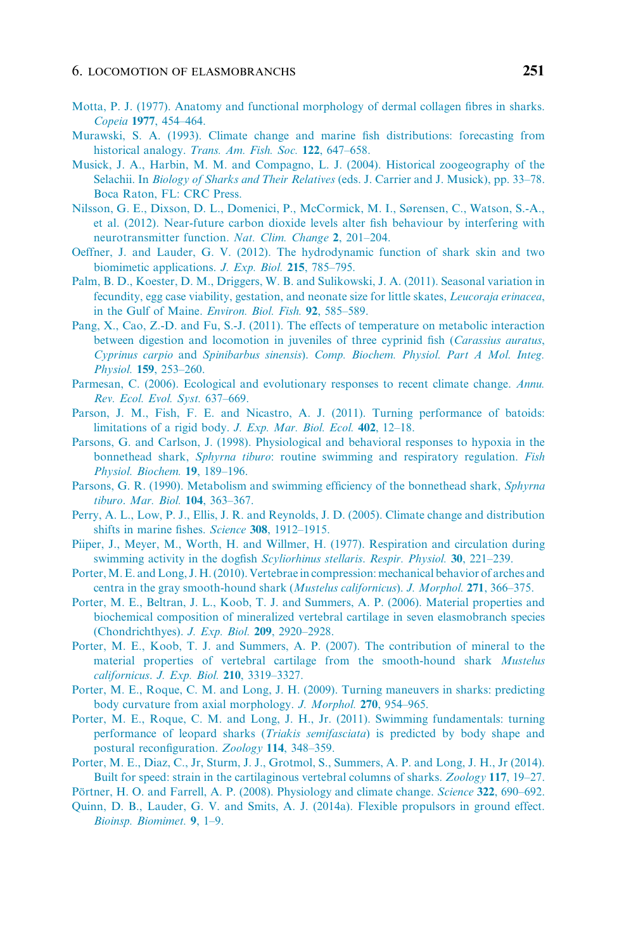- [Motta, P. J. \(1977\). Anatomy and functional morphology of dermal collagen fibres in sharks.](http://refhub.elsevier.com/B978-0-12-801289-5.00006-7/sbref115) Copeia 1977[, 454–464.](http://refhub.elsevier.com/B978-0-12-801289-5.00006-7/sbref115)
- [Murawski, S. A. \(1993\). Climate change and marine fish distributions: forecasting from](http://refhub.elsevier.com/B978-0-12-801289-5.00006-7/sbref116) historical analogy. [Trans. Am. Fish. Soc.](http://refhub.elsevier.com/B978-0-12-801289-5.00006-7/sbref116) 122, 647-658.
- [Musick, J. A., Harbin, M. M. and Compagno, L. J. \(2004\). Historical zoogeography of the](http://refhub.elsevier.com/B978-0-12-801289-5.00006-7/sbref117) Selachii. In Biology of Sharks and Their Relatives [\(eds. J. Carrier and J. Musick\), pp. 33–78.](http://refhub.elsevier.com/B978-0-12-801289-5.00006-7/sbref117) [Boca Raton, FL: CRC Press.](http://refhub.elsevier.com/B978-0-12-801289-5.00006-7/sbref117)
- [Nilsson, G. E., Dixson, D. L., Domenici, P., McCormick, M. I., Sørensen, C., Watson, S.-A.,](http://refhub.elsevier.com/B978-0-12-801289-5.00006-7/sbref118) [et al. \(2012\). Near-future carbon dioxide levels alter fish behaviour by interfering with](http://refhub.elsevier.com/B978-0-12-801289-5.00006-7/sbref118) [neurotransmitter function.](http://refhub.elsevier.com/B978-0-12-801289-5.00006-7/sbref118) Nat. Clim. Change 2, 201–204.
- [Oeffner, J. and Lauder, G. V. \(2012\). The hydrodynamic function of shark skin and two](http://refhub.elsevier.com/B978-0-12-801289-5.00006-7/sbref119) [biomimetic applications.](http://refhub.elsevier.com/B978-0-12-801289-5.00006-7/sbref119) J. Exp. Biol. 215, 785–795.
- [Palm, B. D., Koester, D. M., Driggers, W. B. and Sulikowski, J. A. \(2011\). Seasonal variation in](http://refhub.elsevier.com/B978-0-12-801289-5.00006-7/sbref120) [fecundity, egg case viability, gestation, and neonate size for little skates,](http://refhub.elsevier.com/B978-0-12-801289-5.00006-7/sbref120) Leucoraja erinacea, [in the Gulf of Maine.](http://refhub.elsevier.com/B978-0-12-801289-5.00006-7/sbref120) Environ. Biol. Fish. 92, 585–589.
- [Pang, X., Cao, Z.-D. and Fu, S.-J. \(2011\). The effects of temperature on metabolic interaction](http://refhub.elsevier.com/B978-0-12-801289-5.00006-7/sbref121) [between digestion and locomotion in juveniles of three cyprinid fish \(](http://refhub.elsevier.com/B978-0-12-801289-5.00006-7/sbref121)Carassius auratus, Cyprinus carpio and Spinibarbus sinensis). [Comp. Biochem. Physiol. Part A Mol. Integ.](http://refhub.elsevier.com/B978-0-12-801289-5.00006-7/sbref121) Physiol. 159[, 253–260.](http://refhub.elsevier.com/B978-0-12-801289-5.00006-7/sbref121)
- [Parmesan, C. \(2006\). Ecological and evolutionary responses to recent climate change.](http://refhub.elsevier.com/B978-0-12-801289-5.00006-7/sbref122) Annu. [Rev. Ecol. Evol. Syst.](http://refhub.elsevier.com/B978-0-12-801289-5.00006-7/sbref122) 637–669.
- [Parson, J. M., Fish, F. E. and Nicastro, A. J. \(2011\). Turning performance of batoids:](http://refhub.elsevier.com/B978-0-12-801289-5.00006-7/sbref123) [limitations of a rigid body.](http://refhub.elsevier.com/B978-0-12-801289-5.00006-7/sbref123) J. Exp. Mar. Biol. Ecol. 402, 12–18.
- [Parsons, G. and Carlson, J. \(1998\). Physiological and behavioral responses to hypoxia in the](http://refhub.elsevier.com/B978-0-12-801289-5.00006-7/sbref124) bonnethead shark, Sphyrna tiburo[: routine swimming and respiratory regulation.](http://refhub.elsevier.com/B978-0-12-801289-5.00006-7/sbref124) Fish [Physiol. Biochem.](http://refhub.elsevier.com/B978-0-12-801289-5.00006-7/sbref124) 19, 189–196.
- [Parsons, G. R. \(1990\). Metabolism and swimming efficiency of the bonnethead shark,](http://refhub.elsevier.com/B978-0-12-801289-5.00006-7/sbref125) Sphyrna tiburo. [Mar. Biol.](http://refhub.elsevier.com/B978-0-12-801289-5.00006-7/sbref125) 104, 363–367.
- [Perry, A. L., Low, P. J., Ellis, J. R. and Reynolds, J. D. \(2005\). Climate change and distribution](http://refhub.elsevier.com/B978-0-12-801289-5.00006-7/sbref126) [shifts in marine fishes.](http://refhub.elsevier.com/B978-0-12-801289-5.00006-7/sbref126) Science 308, 1912–1915.
- [Piiper, J., Meyer, M., Worth, H. and Willmer, H. \(1977\). Respiration and circulation during](http://refhub.elsevier.com/B978-0-12-801289-5.00006-7/sbref127) [swimming activity in the dogfish](http://refhub.elsevier.com/B978-0-12-801289-5.00006-7/sbref127) Scyliorhinus stellaris. Respir. Physiol. 30, 221–239.
- [Porter,M. E. and Long, J. H. \(2010\). Vertebrae in compression: mechanical behavior of arches and](http://refhub.elsevier.com/B978-0-12-801289-5.00006-7/sbref128) [centra in the gray smooth-hound shark \(](http://refhub.elsevier.com/B978-0-12-801289-5.00006-7/sbref128)Mustelus californicus). J. Morphol. 271, 366–375.
- [Porter, M. E., Beltran, J. L., Koob, T. J. and Summers, A. P. \(2006\). Material properties and](http://refhub.elsevier.com/B978-0-12-801289-5.00006-7/sbref129) [biochemical composition of mineralized vertebral cartilage in seven elasmobranch species](http://refhub.elsevier.com/B978-0-12-801289-5.00006-7/sbref129) [\(Chondrichthyes\).](http://refhub.elsevier.com/B978-0-12-801289-5.00006-7/sbref129) J. Exp. Biol. 209, 2920–2928.
- [Porter, M. E., Koob, T. J. and Summers, A. P. \(2007\). The contribution of mineral to the](http://refhub.elsevier.com/B978-0-12-801289-5.00006-7/sbref130) [material properties of vertebral cartilage from the smooth-hound shark](http://refhub.elsevier.com/B978-0-12-801289-5.00006-7/sbref130) Mustelus californicus. J. Exp. Biol. 210[, 3319–3327.](http://refhub.elsevier.com/B978-0-12-801289-5.00006-7/sbref130)
- [Porter, M. E., Roque, C. M. and Long, J. H. \(2009\). Turning maneuvers in sharks: predicting](http://refhub.elsevier.com/B978-0-12-801289-5.00006-7/sbref131) [body curvature from axial morphology.](http://refhub.elsevier.com/B978-0-12-801289-5.00006-7/sbref131) J. Morphol. 270, 954–965.
- [Porter, M. E., Roque, C. M. and Long, J. H., Jr. \(2011\). Swimming fundamentals: turning](http://refhub.elsevier.com/B978-0-12-801289-5.00006-7/sbref132) performance of leopard sharks (Triakis semifasciata[\) is predicted by body shape and](http://refhub.elsevier.com/B978-0-12-801289-5.00006-7/sbref132) [postural reconfiguration.](http://refhub.elsevier.com/B978-0-12-801289-5.00006-7/sbref132) Zoology 114, 348–359.
- [Porter, M. E., Diaz, C., Jr, Sturm, J. J., Grotmol, S., Summers, A. P. and Long, J. H., Jr \(2014\).](http://refhub.elsevier.com/B978-0-12-801289-5.00006-7/sbref133) [Built for speed: strain in the cartilaginous vertebral columns of sharks.](http://refhub.elsevier.com/B978-0-12-801289-5.00006-7/sbref133) Zoology 117, 19–27.
- Pörtner, H. O. and Farrell, A. P. (2008). Physiology and climate change. Science 322, 690–692.
- [Quinn, D. B., Lauder, G. V. and Smits, A. J. \(2014a\). Flexible propulsors in ground effect.](http://refhub.elsevier.com/B978-0-12-801289-5.00006-7/sbref135) [Bioinsp. Biomimet.](http://refhub.elsevier.com/B978-0-12-801289-5.00006-7/sbref135) 9, 1–9.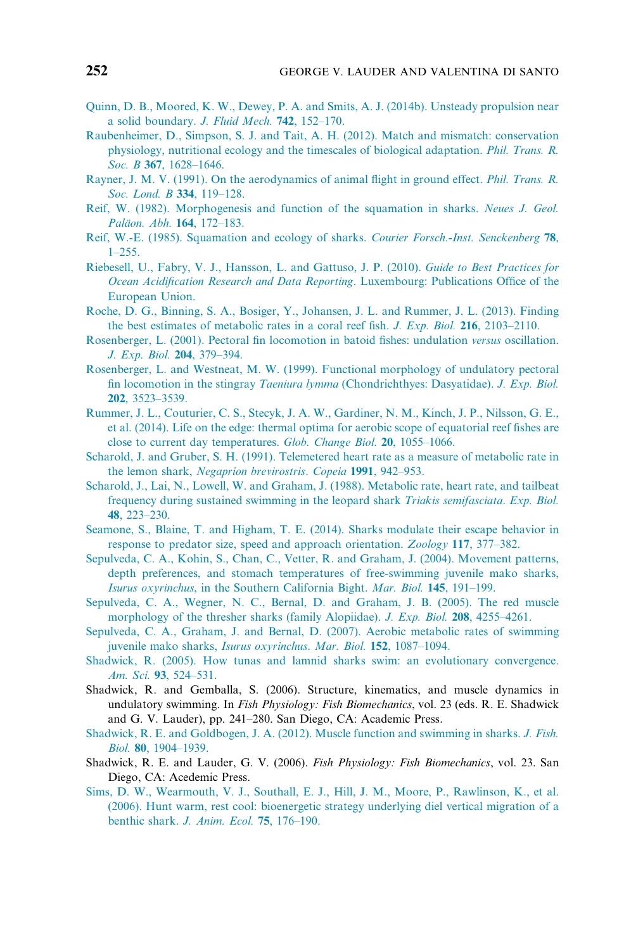- [Quinn, D. B., Moored, K. W., Dewey, P. A. and Smits, A. J. \(2014b\). Unsteady propulsion near](http://refhub.elsevier.com/B978-0-12-801289-5.00006-7/sbref136) [a solid boundary.](http://refhub.elsevier.com/B978-0-12-801289-5.00006-7/sbref136) J. Fluid Mech. 742, 152–170.
- [Raubenheimer, D., Simpson, S. J. and Tait, A. H. \(2012\). Match and mismatch: conservation](http://refhub.elsevier.com/B978-0-12-801289-5.00006-7/sbref137) [physiology, nutritional ecology and the timescales of biological adaptation.](http://refhub.elsevier.com/B978-0-12-801289-5.00006-7/sbref137) Phil. Trans. R. Soc. B 367, 1628-1646.
- [Rayner, J. M. V. \(1991\). On the aerodynamics of animal flight in ground effect.](http://refhub.elsevier.com/B978-0-12-801289-5.00006-7/sbref138) Phil. Trans. R. Soc. Lond. **B** 334, 119-128.
- [Reif, W. \(1982\). Morphogenesis and function of the squamation in sharks.](http://refhub.elsevier.com/B978-0-12-801289-5.00006-7/sbref139) Neues J. Geol. Paläon. Abh. 164, 172-183.
- [Reif, W.-E. \(1985\). Squamation and ecology of sharks.](http://refhub.elsevier.com/B978-0-12-801289-5.00006-7/sbref140) Courier Forsch.-Inst. Senckenberg 78, [1–255.](http://refhub.elsevier.com/B978-0-12-801289-5.00006-7/sbref140)
- [Riebesell, U., Fabry, V. J., Hansson, L. and Gattuso, J. P. \(2010\).](http://refhub.elsevier.com/B978-0-12-801289-5.00006-7/sbref401) Guide to Best Practices for [Ocean Acidification Research and Data Reporting](http://refhub.elsevier.com/B978-0-12-801289-5.00006-7/sbref401). Luxembourg: Publications Office of the [European Union.](http://refhub.elsevier.com/B978-0-12-801289-5.00006-7/sbref401)
- [Roche, D. G., Binning, S. A., Bosiger, Y., Johansen, J. L. and Rummer, J. L. \(2013\). Finding](http://refhub.elsevier.com/B978-0-12-801289-5.00006-7/sbref141) [the best estimates of metabolic rates in a coral reef fish.](http://refhub.elsevier.com/B978-0-12-801289-5.00006-7/sbref141) J. Exp. Biol. 216, 2103–2110.
- [Rosenberger, L. \(2001\). Pectoral fin locomotion in batoid fishes: undulation](http://refhub.elsevier.com/B978-0-12-801289-5.00006-7/sbref142) versus oscillation. [J. Exp. Biol.](http://refhub.elsevier.com/B978-0-12-801289-5.00006-7/sbref142) 204, 379–394.
- [Rosenberger, L. and Westneat, M. W. \(1999\). Functional morphology of undulatory pectoral](http://refhub.elsevier.com/B978-0-12-801289-5.00006-7/sbref143) fin locomotion in the stingray Taeniura lymma [\(Chondrichthyes: Dasyatidae\).](http://refhub.elsevier.com/B978-0-12-801289-5.00006-7/sbref143) J. Exp. Biol. 202[, 3523–3539.](http://refhub.elsevier.com/B978-0-12-801289-5.00006-7/sbref143)
- [Rummer, J. L., Couturier, C. S., Stecyk, J. A. W., Gardiner, N. M., Kinch, J. P., Nilsson, G. E.,](http://refhub.elsevier.com/B978-0-12-801289-5.00006-7/sbref144) [et al. \(2014\). Life on the edge: thermal optima for aerobic scope of equatorial reef fishes are](http://refhub.elsevier.com/B978-0-12-801289-5.00006-7/sbref144) [close to current day temperatures.](http://refhub.elsevier.com/B978-0-12-801289-5.00006-7/sbref144) Glob. Change Biol. 20, 1055–1066.
- [Scharold, J. and Gruber, S. H. \(1991\). Telemetered heart rate as a measure of metabolic rate in](http://refhub.elsevier.com/B978-0-12-801289-5.00006-7/sbref145) the lemon shark, [Negaprion brevirostris](http://refhub.elsevier.com/B978-0-12-801289-5.00006-7/sbref145). Copeia 1991, 942–953.
- [Scharold, J., Lai, N., Lowell, W. and Graham, J. \(1988\). Metabolic rate, heart rate, and tailbeat](http://refhub.elsevier.com/B978-0-12-801289-5.00006-7/sbref146) [frequency during sustained swimming in the leopard shark](http://refhub.elsevier.com/B978-0-12-801289-5.00006-7/sbref146) Triakis semifasciata. Exp. Biol. 48[, 223–230.](http://refhub.elsevier.com/B978-0-12-801289-5.00006-7/sbref146)
- [Seamone, S., Blaine, T. and Higham, T. E. \(2014\). Sharks modulate their escape behavior in](http://refhub.elsevier.com/B978-0-12-801289-5.00006-7/sbref148) [response to predator size, speed and approach orientation.](http://refhub.elsevier.com/B978-0-12-801289-5.00006-7/sbref148) Zoology 117, 377–382.
- [Sepulveda, C. A., Kohin, S., Chan, C., Vetter, R. and Graham, J. \(2004\). Movement patterns,](http://refhub.elsevier.com/B978-0-12-801289-5.00006-7/sbref149) [depth preferences, and stomach temperatures of free-swimming juvenile mako sharks,](http://refhub.elsevier.com/B978-0-12-801289-5.00006-7/sbref149) Isurus oxyrinchus[, in the Southern California Bight.](http://refhub.elsevier.com/B978-0-12-801289-5.00006-7/sbref149) Mar. Biol. 145, 191–199.
- [Sepulveda, C. A., Wegner, N. C., Bernal, D. and Graham, J. B. \(2005\). The red muscle](http://refhub.elsevier.com/B978-0-12-801289-5.00006-7/sbref150) [morphology of the thresher sharks \(family Alopiidae\).](http://refhub.elsevier.com/B978-0-12-801289-5.00006-7/sbref150) J. Exp. Biol. 208, 4255–4261.
- [Sepulveda, C. A., Graham, J. and Bernal, D. \(2007\). Aerobic metabolic rates of swimming](http://refhub.elsevier.com/B978-0-12-801289-5.00006-7/sbref151) [juvenile mako sharks,](http://refhub.elsevier.com/B978-0-12-801289-5.00006-7/sbref151) Isurus oxyrinchus. Mar. Biol. 152, 1087–1094.
- [Shadwick, R. \(2005\). How tunas and lamnid sharks swim: an evolutionary convergence.](http://refhub.elsevier.com/B978-0-12-801289-5.00006-7/sbref152) Am. Sci. 93[, 524–531.](http://refhub.elsevier.com/B978-0-12-801289-5.00006-7/sbref152)
- Shadwick, R. and Gemballa, S. (2006). Structure, kinematics, and muscle dynamics in undulatory swimming. In Fish Physiology: Fish Biomechanics, vol. 23 (eds. R. E. Shadwick and G. V. Lauder), pp. 241–280. San Diego, CA: Academic Press.
- [Shadwick, R. E. and Goldbogen, J. A. \(2012\). Muscle function and swimming in sharks.](http://refhub.elsevier.com/B978-0-12-801289-5.00006-7/sbref154) J. Fish. Biol. 80[, 1904–1939.](http://refhub.elsevier.com/B978-0-12-801289-5.00006-7/sbref154)
- Shadwick, R. E. and Lauder, G. V. (2006). *Fish Physiology: Fish Biomechanics*, vol. 23. San Diego, CA: Acedemic Press.
- [Sims, D. W., Wearmouth, V. J., Southall, E. J., Hill, J. M., Moore, P., Rawlinson, K., et al.](http://refhub.elsevier.com/B978-0-12-801289-5.00006-7/sbref156) [\(2006\). Hunt warm, rest cool: bioenergetic strategy underlying diel vertical migration of a](http://refhub.elsevier.com/B978-0-12-801289-5.00006-7/sbref156) [benthic shark.](http://refhub.elsevier.com/B978-0-12-801289-5.00006-7/sbref156) J. Anim. Ecol. 75, 176–190.